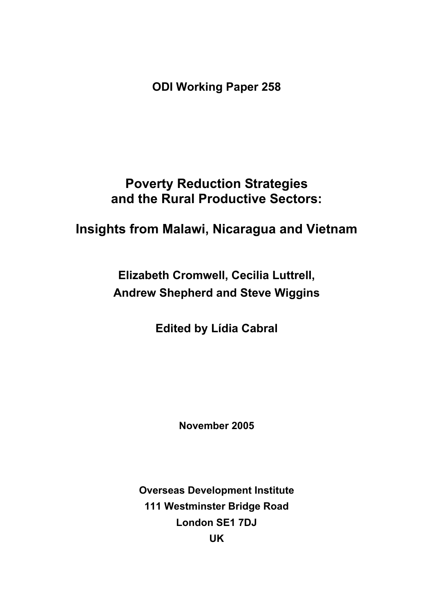**ODI Working Paper 258** 

# **Poverty Reduction Strategies and the Rural Productive Sectors:**

# **Insights from Malawi, Nicaragua and Vietnam**

**Elizabeth Cromwell, Cecilia Luttrell, Andrew Shepherd and Steve Wiggins** 

**Edited by Lídia Cabral** 

**November 2005** 

**Overseas Development Institute 111 Westminster Bridge Road London SE1 7DJ UK**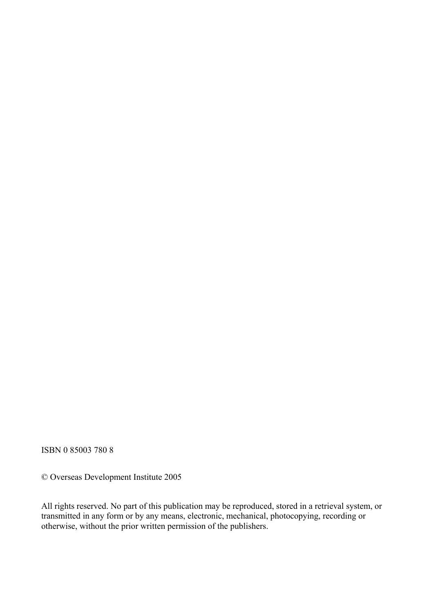ISBN 0 85003 780 8

© Overseas Development Institute 2005

All rights reserved. No part of this publication may be reproduced, stored in a retrieval system, or transmitted in any form or by any means, electronic, mechanical, photocopying, recording or otherwise, without the prior written permission of the publishers.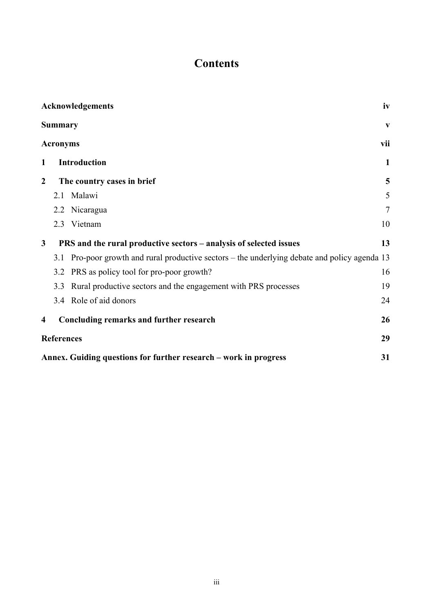# **Contents**

|                         | Acknowledgements                                                                                 | iv           |  |  |  |
|-------------------------|--------------------------------------------------------------------------------------------------|--------------|--|--|--|
|                         | <b>Summary</b>                                                                                   | V            |  |  |  |
|                         | <b>Acronyms</b>                                                                                  | vii          |  |  |  |
| 1                       | <b>Introduction</b>                                                                              | $\mathbf{1}$ |  |  |  |
| 2                       | The country cases in brief                                                                       | 5            |  |  |  |
|                         | 2.1 Malawi                                                                                       | 5            |  |  |  |
|                         | 2.2 Nicaragua                                                                                    | $\tau$       |  |  |  |
|                         | 2.3 Vietnam                                                                                      | 10           |  |  |  |
| $\mathbf{3}$            | PRS and the rural productive sectors – analysis of selected issues                               | 13           |  |  |  |
|                         | Pro-poor growth and rural productive sectors – the underlying debate and policy agenda 13<br>3.1 |              |  |  |  |
|                         | PRS as policy tool for pro-poor growth?<br>3.2                                                   | 16           |  |  |  |
|                         | Rural productive sectors and the engagement with PRS processes<br>3.3                            | 19           |  |  |  |
|                         | Role of aid donors<br>3.4                                                                        | 24           |  |  |  |
| $\overline{\mathbf{4}}$ | Concluding remarks and further research                                                          | 26           |  |  |  |
|                         | 29<br><b>References</b>                                                                          |              |  |  |  |
|                         | 31<br>Annex. Guiding questions for further research – work in progress                           |              |  |  |  |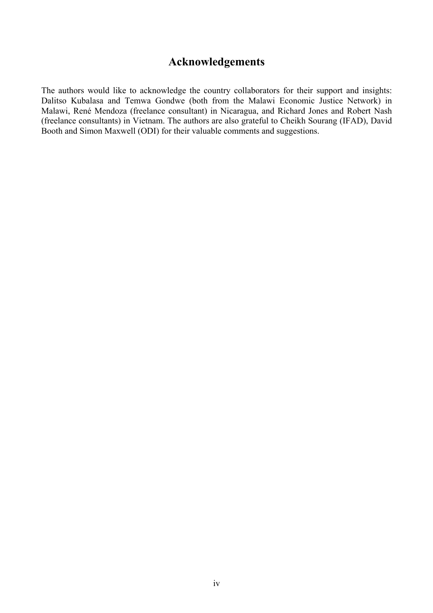## **Acknowledgements**

The authors would like to acknowledge the country collaborators for their support and insights: Dalitso Kubalasa and Temwa Gondwe (both from the Malawi Economic Justice Network) in Malawi, René Mendoza (freelance consultant) in Nicaragua, and Richard Jones and Robert Nash (freelance consultants) in Vietnam. The authors are also grateful to Cheikh Sourang (IFAD), David Booth and Simon Maxwell (ODI) for their valuable comments and suggestions.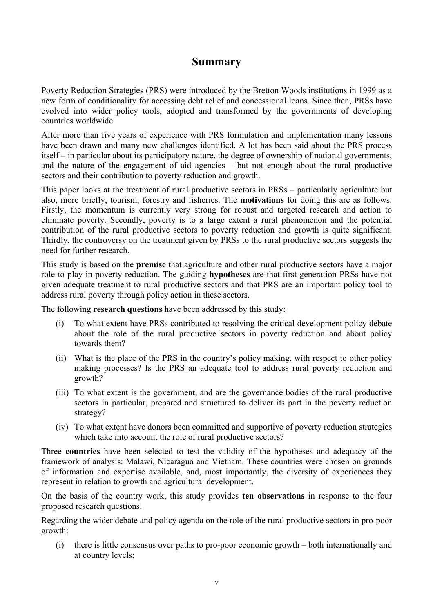## **Summary**

Poverty Reduction Strategies (PRS) were introduced by the Bretton Woods institutions in 1999 as a new form of conditionality for accessing debt relief and concessional loans. Since then, PRSs have evolved into wider policy tools, adopted and transformed by the governments of developing countries worldwide.

After more than five years of experience with PRS formulation and implementation many lessons have been drawn and many new challenges identified. A lot has been said about the PRS process itself – in particular about its participatory nature, the degree of ownership of national governments, and the nature of the engagement of aid agencies – but not enough about the rural productive sectors and their contribution to poverty reduction and growth.

This paper looks at the treatment of rural productive sectors in PRSs – particularly agriculture but also, more briefly, tourism, forestry and fisheries. The **motivations** for doing this are as follows. Firstly, the momentum is currently very strong for robust and targeted research and action to eliminate poverty. Secondly, poverty is to a large extent a rural phenomenon and the potential contribution of the rural productive sectors to poverty reduction and growth is quite significant. Thirdly, the controversy on the treatment given by PRSs to the rural productive sectors suggests the need for further research.

This study is based on the **premise** that agriculture and other rural productive sectors have a major role to play in poverty reduction. The guiding **hypotheses** are that first generation PRSs have not given adequate treatment to rural productive sectors and that PRS are an important policy tool to address rural poverty through policy action in these sectors.

The following **research questions** have been addressed by this study:

- (i) To what extent have PRSs contributed to resolving the critical development policy debate about the role of the rural productive sectors in poverty reduction and about policy towards them?
- (ii) What is the place of the PRS in the country's policy making, with respect to other policy making processes? Is the PRS an adequate tool to address rural poverty reduction and growth?
- (iii) To what extent is the government, and are the governance bodies of the rural productive sectors in particular, prepared and structured to deliver its part in the poverty reduction strategy?
- (iv) To what extent have donors been committed and supportive of poverty reduction strategies which take into account the role of rural productive sectors?

Three **countries** have been selected to test the validity of the hypotheses and adequacy of the framework of analysis: Malawi, Nicaragua and Vietnam. These countries were chosen on grounds of information and expertise available, and, most importantly, the diversity of experiences they represent in relation to growth and agricultural development.

On the basis of the country work, this study provides **ten observations** in response to the four proposed research questions.

Regarding the wider debate and policy agenda on the role of the rural productive sectors in pro-poor growth:

(i) there is little consensus over paths to pro-poor economic growth – both internationally and at country levels;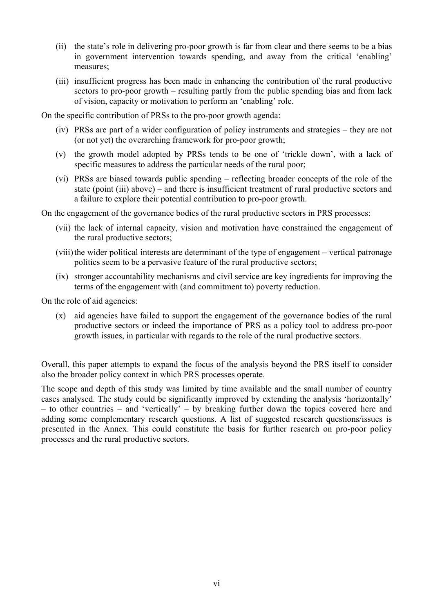- (ii) the state's role in delivering pro-poor growth is far from clear and there seems to be a bias in government intervention towards spending, and away from the critical 'enabling' measures;
- (iii) insufficient progress has been made in enhancing the contribution of the rural productive sectors to pro-poor growth – resulting partly from the public spending bias and from lack of vision, capacity or motivation to perform an 'enabling' role.

On the specific contribution of PRSs to the pro-poor growth agenda:

- (iv) PRSs are part of a wider configuration of policy instruments and strategies they are not (or not yet) the overarching framework for pro-poor growth;
- (v) the growth model adopted by PRSs tends to be one of 'trickle down', with a lack of specific measures to address the particular needs of the rural poor;
- (vi) PRSs are biased towards public spending reflecting broader concepts of the role of the state (point (iii) above) – and there is insufficient treatment of rural productive sectors and a failure to explore their potential contribution to pro-poor growth.

On the engagement of the governance bodies of the rural productive sectors in PRS processes:

- (vii) the lack of internal capacity, vision and motivation have constrained the engagement of the rural productive sectors;
- (viii) the wider political interests are determinant of the type of engagement vertical patronage politics seem to be a pervasive feature of the rural productive sectors;
- (ix) stronger accountability mechanisms and civil service are key ingredients for improving the terms of the engagement with (and commitment to) poverty reduction.

On the role of aid agencies:

(x) aid agencies have failed to support the engagement of the governance bodies of the rural productive sectors or indeed the importance of PRS as a policy tool to address pro-poor growth issues, in particular with regards to the role of the rural productive sectors.

Overall, this paper attempts to expand the focus of the analysis beyond the PRS itself to consider also the broader policy context in which PRS processes operate.

The scope and depth of this study was limited by time available and the small number of country cases analysed. The study could be significantly improved by extending the analysis 'horizontally' – to other countries – and 'vertically' – by breaking further down the topics covered here and adding some complementary research questions. A list of suggested research questions/issues is presented in the Annex. This could constitute the basis for further research on pro-poor policy processes and the rural productive sectors.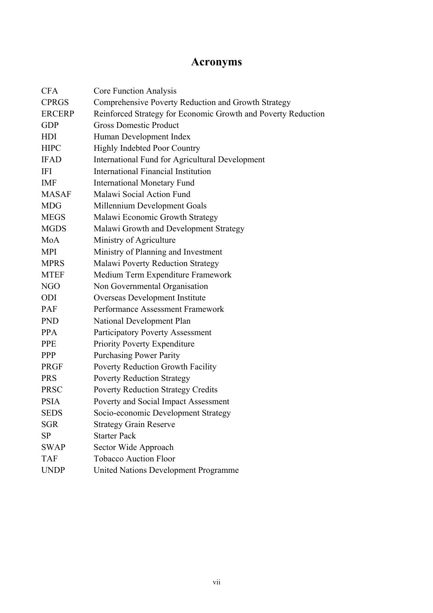# **Acronyms**

| <b>CFA</b>    | <b>Core Function Analysis</b>                                 |  |  |  |  |  |
|---------------|---------------------------------------------------------------|--|--|--|--|--|
| <b>CPRGS</b>  | Comprehensive Poverty Reduction and Growth Strategy           |  |  |  |  |  |
| <b>ERCERP</b> | Reinforced Strategy for Economic Growth and Poverty Reduction |  |  |  |  |  |
| <b>GDP</b>    | <b>Gross Domestic Product</b>                                 |  |  |  |  |  |
| <b>HDI</b>    | Human Development Index                                       |  |  |  |  |  |
| <b>HIPC</b>   | <b>Highly Indebted Poor Country</b>                           |  |  |  |  |  |
| <b>IFAD</b>   | International Fund for Agricultural Development               |  |  |  |  |  |
| IFI           | <b>International Financial Institution</b>                    |  |  |  |  |  |
| <b>IMF</b>    | <b>International Monetary Fund</b>                            |  |  |  |  |  |
| <b>MASAF</b>  | Malawi Social Action Fund                                     |  |  |  |  |  |
| <b>MDG</b>    | Millennium Development Goals                                  |  |  |  |  |  |
| <b>MEGS</b>   | Malawi Economic Growth Strategy                               |  |  |  |  |  |
| <b>MGDS</b>   | Malawi Growth and Development Strategy                        |  |  |  |  |  |
| MoA           | Ministry of Agriculture                                       |  |  |  |  |  |
| <b>MPI</b>    | Ministry of Planning and Investment                           |  |  |  |  |  |
| <b>MPRS</b>   | <b>Malawi Poverty Reduction Strategy</b>                      |  |  |  |  |  |
| <b>MTEF</b>   | Medium Term Expenditure Framework                             |  |  |  |  |  |
| <b>NGO</b>    | Non Governmental Organisation                                 |  |  |  |  |  |
| ODI           | Overseas Development Institute                                |  |  |  |  |  |
| <b>PAF</b>    | Performance Assessment Framework                              |  |  |  |  |  |
| <b>PND</b>    | National Development Plan                                     |  |  |  |  |  |
| <b>PPA</b>    | <b>Participatory Poverty Assessment</b>                       |  |  |  |  |  |
| <b>PPE</b>    | <b>Priority Poverty Expenditure</b>                           |  |  |  |  |  |
| <b>PPP</b>    | <b>Purchasing Power Parity</b>                                |  |  |  |  |  |
| PRGF          | Poverty Reduction Growth Facility                             |  |  |  |  |  |
| <b>PRS</b>    | <b>Poverty Reduction Strategy</b>                             |  |  |  |  |  |
| <b>PRSC</b>   | <b>Poverty Reduction Strategy Credits</b>                     |  |  |  |  |  |
| <b>PSIA</b>   | Poverty and Social Impact Assessment                          |  |  |  |  |  |
| <b>SEDS</b>   | Socio-economic Development Strategy                           |  |  |  |  |  |
| SGR           | <b>Strategy Grain Reserve</b>                                 |  |  |  |  |  |
| <b>SP</b>     | <b>Starter Pack</b>                                           |  |  |  |  |  |
| <b>SWAP</b>   | Sector Wide Approach                                          |  |  |  |  |  |
| <b>TAF</b>    | <b>Tobacco Auction Floor</b>                                  |  |  |  |  |  |
| <b>UNDP</b>   | <b>United Nations Development Programme</b>                   |  |  |  |  |  |
|               |                                                               |  |  |  |  |  |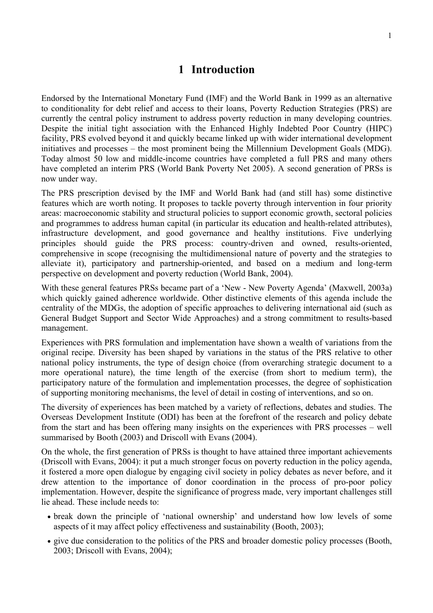## **1 Introduction**

Endorsed by the International Monetary Fund (IMF) and the World Bank in 1999 as an alternative to conditionality for debt relief and access to their loans, Poverty Reduction Strategies (PRS) are currently the central policy instrument to address poverty reduction in many developing countries. Despite the initial tight association with the Enhanced Highly Indebted Poor Country (HIPC) facility, PRS evolved beyond it and quickly became linked up with wider international development initiatives and processes – the most prominent being the Millennium Development Goals (MDG). Today almost 50 low and middle-income countries have completed a full PRS and many others have completed an interim PRS (World Bank Poverty Net 2005). A second generation of PRSs is now under way.

The PRS prescription devised by the IMF and World Bank had (and still has) some distinctive features which are worth noting. It proposes to tackle poverty through intervention in four priority areas: macroeconomic stability and structural policies to support economic growth, sectoral policies and programmes to address human capital (in particular its education and health-related attributes), infrastructure development, and good governance and healthy institutions. Five underlying principles should guide the PRS process: country-driven and owned, results-oriented, comprehensive in scope (recognising the multidimensional nature of poverty and the strategies to alleviate it), participatory and partnership-oriented, and based on a medium and long-term perspective on development and poverty reduction (World Bank, 2004).

With these general features PRSs became part of a 'New - New Poverty Agenda' (Maxwell, 2003a) which quickly gained adherence worldwide. Other distinctive elements of this agenda include the centrality of the MDGs, the adoption of specific approaches to delivering international aid (such as General Budget Support and Sector Wide Approaches) and a strong commitment to results-based management.

Experiences with PRS formulation and implementation have shown a wealth of variations from the original recipe. Diversity has been shaped by variations in the status of the PRS relative to other national policy instruments, the type of design choice (from overarching strategic document to a more operational nature), the time length of the exercise (from short to medium term), the participatory nature of the formulation and implementation processes, the degree of sophistication of supporting monitoring mechanisms, the level of detail in costing of interventions, and so on.

The diversity of experiences has been matched by a variety of reflections, debates and studies. The Overseas Development Institute (ODI) has been at the forefront of the research and policy debate from the start and has been offering many insights on the experiences with PRS processes – well summarised by Booth (2003) and Driscoll with Evans (2004).

On the whole, the first generation of PRSs is thought to have attained three important achievements (Driscoll with Evans, 2004): it put a much stronger focus on poverty reduction in the policy agenda, it fostered a more open dialogue by engaging civil society in policy debates as never before, and it drew attention to the importance of donor coordination in the process of pro-poor policy implementation. However, despite the significance of progress made, very important challenges still lie ahead. These include needs to:

- break down the principle of 'national ownership' and understand how low levels of some aspects of it may affect policy effectiveness and sustainability (Booth, 2003);
- give due consideration to the politics of the PRS and broader domestic policy processes (Booth, 2003; Driscoll with Evans, 2004);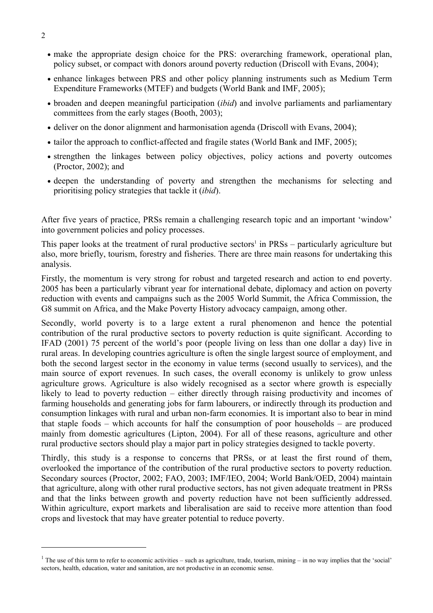- make the appropriate design choice for the PRS: overarching framework, operational plan, policy subset, or compact with donors around poverty reduction (Driscoll with Evans, 2004);
- enhance linkages between PRS and other policy planning instruments such as Medium Term Expenditure Frameworks (MTEF) and budgets (World Bank and IMF, 2005);
- broaden and deepen meaningful participation (*ibid*) and involve parliaments and parliamentary committees from the early stages (Booth, 2003);
- deliver on the donor alignment and harmonisation agenda (Driscoll with Evans, 2004);
- tailor the approach to conflict-affected and fragile states (World Bank and IMF, 2005);
- strengthen the linkages between policy objectives, policy actions and poverty outcomes (Proctor, 2002); and
- deepen the understanding of poverty and strengthen the mechanisms for selecting and prioritising policy strategies that tackle it (*ibid*).

After five years of practice, PRSs remain a challenging research topic and an important 'window' into government policies and policy processes.

This paper looks at the treatment of rural productive sectors<sup>1</sup> in  $PRSs$  – particularly agriculture but also, more briefly, tourism, forestry and fisheries. There are three main reasons for undertaking this analysis.

Firstly, the momentum is very strong for robust and targeted research and action to end poverty. 2005 has been a particularly vibrant year for international debate, diplomacy and action on poverty reduction with events and campaigns such as the 2005 World Summit, the Africa Commission, the G8 summit on Africa, and the Make Poverty History advocacy campaign, among other.

Secondly, world poverty is to a large extent a rural phenomenon and hence the potential contribution of the rural productive sectors to poverty reduction is quite significant. According to IFAD (2001) 75 percent of the world's poor (people living on less than one dollar a day) live in rural areas. In developing countries agriculture is often the single largest source of employment, and both the second largest sector in the economy in value terms (second usually to services), and the main source of export revenues. In such cases, the overall economy is unlikely to grow unless agriculture grows. Agriculture is also widely recognised as a sector where growth is especially likely to lead to poverty reduction – either directly through raising productivity and incomes of farming households and generating jobs for farm labourers, or indirectly through its production and consumption linkages with rural and urban non-farm economies. It is important also to bear in mind that staple foods – which accounts for half the consumption of poor households – are produced mainly from domestic agricultures (Lipton, 2004). For all of these reasons, agriculture and other rural productive sectors should play a major part in policy strategies designed to tackle poverty.

Thirdly, this study is a response to concerns that PRSs, or at least the first round of them, overlooked the importance of the contribution of the rural productive sectors to poverty reduction. Secondary sources (Proctor, 2002; FAO, 2003; IMF/IEO, 2004; World Bank/OED, 2004) maintain that agriculture, along with other rural productive sectors, has not given adequate treatment in PRSs and that the links between growth and poverty reduction have not been sufficiently addressed. Within agriculture, export markets and liberalisation are said to receive more attention than food crops and livestock that may have greater potential to reduce poverty.

<sup>&</sup>lt;sup>1</sup> The use of this term to refer to economic activities – such as agriculture, trade, tourism, mining – in no way implies that the 'social' sectors, health, education, water and sanitation, are not productive in an economic sense.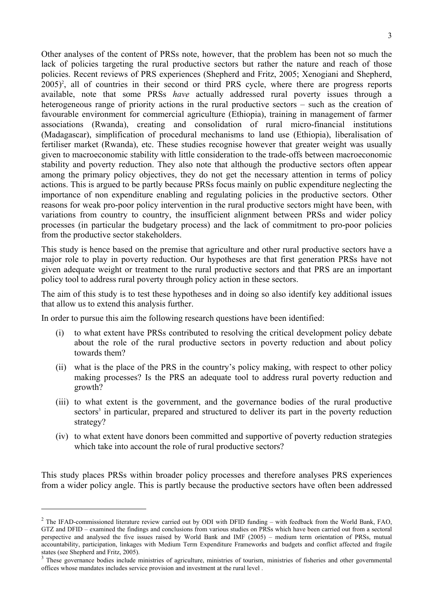Other analyses of the content of PRSs note, however, that the problem has been not so much the lack of policies targeting the rural productive sectors but rather the nature and reach of those policies. Recent reviews of PRS experiences (Shepherd and Fritz, 2005; Xenogiani and Shepherd, 2005)<sup>2</sup>, all of countries in their second or third PRS cycle, where there are progress reports available, note that some PRSs *have* actually addressed rural poverty issues through a heterogeneous range of priority actions in the rural productive sectors – such as the creation of favourable environment for commercial agriculture (Ethiopia), training in management of farmer associations (Rwanda), creating and consolidation of rural micro-financial institutions (Madagascar), simplification of procedural mechanisms to land use (Ethiopia), liberalisation of fertiliser market (Rwanda), etc. These studies recognise however that greater weight was usually given to macroeconomic stability with little consideration to the trade-offs between macroeconomic stability and poverty reduction. They also note that although the productive sectors often appear among the primary policy objectives, they do not get the necessary attention in terms of policy actions. This is argued to be partly because PRSs focus mainly on public expenditure neglecting the importance of non expenditure enabling and regulating policies in the productive sectors. Other reasons for weak pro-poor policy intervention in the rural productive sectors might have been, with variations from country to country, the insufficient alignment between PRSs and wider policy processes (in particular the budgetary process) and the lack of commitment to pro-poor policies from the productive sector stakeholders.

This study is hence based on the premise that agriculture and other rural productive sectors have a major role to play in poverty reduction. Our hypotheses are that first generation PRSs have not given adequate weight or treatment to the rural productive sectors and that PRS are an important policy tool to address rural poverty through policy action in these sectors.

The aim of this study is to test these hypotheses and in doing so also identify key additional issues that allow us to extend this analysis further.

In order to pursue this aim the following research questions have been identified:

 $\overline{a}$ 

- (i) to what extent have PRSs contributed to resolving the critical development policy debate about the role of the rural productive sectors in poverty reduction and about policy towards them?
- (ii) what is the place of the PRS in the country's policy making, with respect to other policy making processes? Is the PRS an adequate tool to address rural poverty reduction and growth?
- (iii) to what extent is the government, and the governance bodies of the rural productive sectors<sup>3</sup> in particular, prepared and structured to deliver its part in the poverty reduction strategy?
- (iv) to what extent have donors been committed and supportive of poverty reduction strategies which take into account the role of rural productive sectors?

This study places PRSs within broader policy processes and therefore analyses PRS experiences from a wider policy angle. This is partly because the productive sectors have often been addressed

 $2$  The IFAD-commissioned literature review carried out by ODI with DFID funding – with feedback from the World Bank, FAO, GTZ and DFID – examined the findings and conclusions from various studies on PRSs which have been carried out from a sectoral perspective and analysed the five issues raised by World Bank and IMF (2005) – medium term orientation of PRSs, mutual accountability, participation, linkages with Medium Term Expenditure Frameworks and budgets and conflict affected and fragile states (see Shepherd and Fritz, 2005).

 $3$  These governance bodies include ministries of agriculture, ministries of tourism, ministries of fisheries and other governmental offices whose mandates includes service provision and investment at the rural level .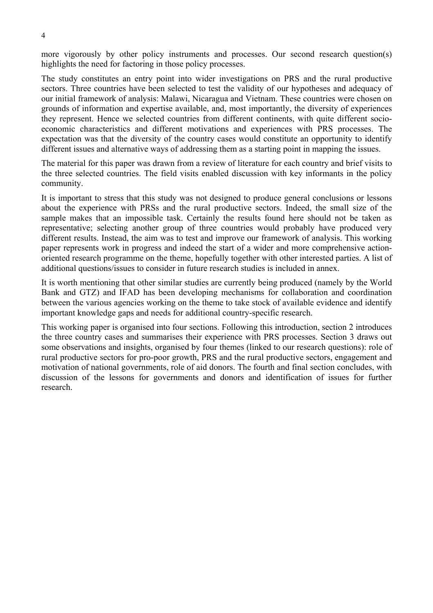more vigorously by other policy instruments and processes. Our second research question(s) highlights the need for factoring in those policy processes.

The study constitutes an entry point into wider investigations on PRS and the rural productive sectors. Three countries have been selected to test the validity of our hypotheses and adequacy of our initial framework of analysis: Malawi, Nicaragua and Vietnam. These countries were chosen on grounds of information and expertise available, and, most importantly, the diversity of experiences they represent. Hence we selected countries from different continents, with quite different socioeconomic characteristics and different motivations and experiences with PRS processes. The expectation was that the diversity of the country cases would constitute an opportunity to identify different issues and alternative ways of addressing them as a starting point in mapping the issues.

The material for this paper was drawn from a review of literature for each country and brief visits to the three selected countries. The field visits enabled discussion with key informants in the policy community.

It is important to stress that this study was not designed to produce general conclusions or lessons about the experience with PRSs and the rural productive sectors. Indeed, the small size of the sample makes that an impossible task. Certainly the results found here should not be taken as representative; selecting another group of three countries would probably have produced very different results. Instead, the aim was to test and improve our framework of analysis. This working paper represents work in progress and indeed the start of a wider and more comprehensive actionoriented research programme on the theme, hopefully together with other interested parties. A list of additional questions/issues to consider in future research studies is included in annex.

It is worth mentioning that other similar studies are currently being produced (namely by the World Bank and GTZ) and IFAD has been developing mechanisms for collaboration and coordination between the various agencies working on the theme to take stock of available evidence and identify important knowledge gaps and needs for additional country-specific research.

This working paper is organised into four sections. Following this introduction, section 2 introduces the three country cases and summarises their experience with PRS processes. Section 3 draws out some observations and insights, organised by four themes (linked to our research questions): role of rural productive sectors for pro-poor growth, PRS and the rural productive sectors, engagement and motivation of national governments, role of aid donors. The fourth and final section concludes, with discussion of the lessons for governments and donors and identification of issues for further research.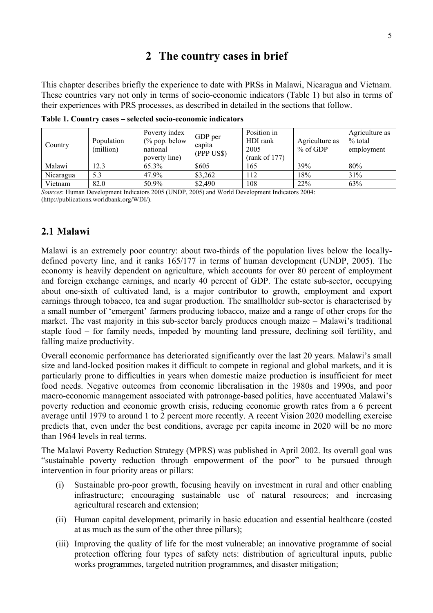## **2 The country cases in brief**

This chapter describes briefly the experience to date with PRSs in Malawi, Nicaragua and Vietnam. These countries vary not only in terms of socio-economic indicators (Table 1) but also in terms of their experiences with PRS processes, as described in detailed in the sections that follow.

| Country   | Population<br>(million) | Poverty index<br>$\frac{6}{2}$ pop. below<br>national<br>poverty line) | GDP per<br>capita<br>(PPP US\$) | Position in<br>HDI rank<br>2005<br>(rank of 177) | Agriculture as<br>$%$ of GDP | Agriculture as<br>% total<br>employment |
|-----------|-------------------------|------------------------------------------------------------------------|---------------------------------|--------------------------------------------------|------------------------------|-----------------------------------------|
| Malawi    | 12.3                    | 65.3%                                                                  | \$605                           | 165                                              | 39%                          | 80%                                     |
| Nicaragua | 5.3                     | 47.9%                                                                  | \$3,262                         | 112                                              | 18%                          | 31%                                     |
| Vietnam   | 82.0                    | 50.9%                                                                  | \$2,490                         | 108                                              | 22%                          | 63%                                     |

**Table 1. Country cases – selected socio-economic indicators** 

*Sources*: Human Development Indicators 2005 (UNDP, 2005) and World Development Indicators 2004: (http://publications.worldbank.org/WDI/).

## **2.1 Malawi**

Malawi is an extremely poor country: about two-thirds of the population lives below the locallydefined poverty line, and it ranks 165/177 in terms of human development (UNDP, 2005). The economy is heavily dependent on agriculture, which accounts for over 80 percent of employment and foreign exchange earnings, and nearly 40 percent of GDP. The estate sub-sector, occupying about one-sixth of cultivated land, is a major contributor to growth, employment and export earnings through tobacco, tea and sugar production. The smallholder sub-sector is characterised by a small number of 'emergent' farmers producing tobacco, maize and a range of other crops for the market. The vast majority in this sub-sector barely produces enough maize – Malawi's traditional staple food – for family needs, impeded by mounting land pressure, declining soil fertility, and falling maize productivity.

Overall economic performance has deteriorated significantly over the last 20 years. Malawi's small size and land-locked position makes it difficult to compete in regional and global markets, and it is particularly prone to difficulties in years when domestic maize production is insufficient for meet food needs. Negative outcomes from economic liberalisation in the 1980s and 1990s, and poor macro-economic management associated with patronage-based politics, have accentuated Malawi's poverty reduction and economic growth crisis, reducing economic growth rates from a 6 percent average until 1979 to around 1 to 2 percent more recently. A recent Vision 2020 modelling exercise predicts that, even under the best conditions, average per capita income in 2020 will be no more than 1964 levels in real terms.

The Malawi Poverty Reduction Strategy (MPRS) was published in April 2002. Its overall goal was "sustainable poverty reduction through empowerment of the poor" to be pursued through intervention in four priority areas or pillars:

- (i) Sustainable pro-poor growth, focusing heavily on investment in rural and other enabling infrastructure; encouraging sustainable use of natural resources; and increasing agricultural research and extension;
- (ii) Human capital development, primarily in basic education and essential healthcare (costed at as much as the sum of the other three pillars);
- (iii) Improving the quality of life for the most vulnerable; an innovative programme of social protection offering four types of safety nets: distribution of agricultural inputs, public works programmes, targeted nutrition programmes, and disaster mitigation;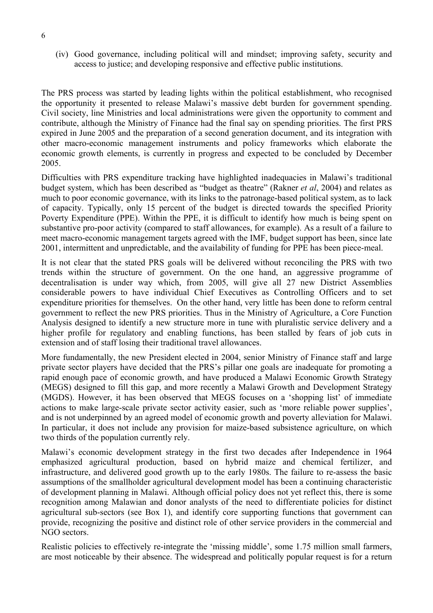(iv) Good governance, including political will and mindset; improving safety, security and access to justice; and developing responsive and effective public institutions.

The PRS process was started by leading lights within the political establishment, who recognised the opportunity it presented to release Malawi's massive debt burden for government spending. Civil society, line Ministries and local administrations were given the opportunity to comment and contribute, although the Ministry of Finance had the final say on spending priorities. The first PRS expired in June 2005 and the preparation of a second generation document, and its integration with other macro-economic management instruments and policy frameworks which elaborate the economic growth elements, is currently in progress and expected to be concluded by December 2005.

Difficulties with PRS expenditure tracking have highlighted inadequacies in Malawi's traditional budget system, which has been described as "budget as theatre" (Rakner *et al*, 2004) and relates as much to poor economic governance, with its links to the patronage-based political system, as to lack of capacity. Typically, only 15 percent of the budget is directed towards the specified Priority Poverty Expenditure (PPE). Within the PPE, it is difficult to identify how much is being spent on substantive pro-poor activity (compared to staff allowances, for example). As a result of a failure to meet macro-economic management targets agreed with the IMF, budget support has been, since late 2001, intermittent and unpredictable, and the availability of funding for PPE has been piece-meal.

It is not clear that the stated PRS goals will be delivered without reconciling the PRS with two trends within the structure of government. On the one hand, an aggressive programme of decentralisation is under way which, from 2005, will give all 27 new District Assemblies considerable powers to have individual Chief Executives as Controlling Officers and to set expenditure priorities for themselves. On the other hand, very little has been done to reform central government to reflect the new PRS priorities. Thus in the Ministry of Agriculture, a Core Function Analysis designed to identify a new structure more in tune with pluralistic service delivery and a higher profile for regulatory and enabling functions, has been stalled by fears of job cuts in extension and of staff losing their traditional travel allowances.

More fundamentally, the new President elected in 2004, senior Ministry of Finance staff and large private sector players have decided that the PRS's pillar one goals are inadequate for promoting a rapid enough pace of economic growth, and have produced a Malawi Economic Growth Strategy (MEGS) designed to fill this gap, and more recently a Malawi Growth and Development Strategy (MGDS). However, it has been observed that MEGS focuses on a 'shopping list' of immediate actions to make large-scale private sector activity easier, such as 'more reliable power supplies', and is not underpinned by an agreed model of economic growth and poverty alleviation for Malawi. In particular, it does not include any provision for maize-based subsistence agriculture, on which two thirds of the population currently rely.

Malawi's economic development strategy in the first two decades after Independence in 1964 emphasized agricultural production, based on hybrid maize and chemical fertilizer, and infrastructure, and delivered good growth up to the early 1980s. The failure to re-assess the basic assumptions of the smallholder agricultural development model has been a continuing characteristic of development planning in Malawi. Although official policy does not yet reflect this, there is some recognition among Malawian and donor analysts of the need to differentiate policies for distinct agricultural sub-sectors (see Box 1), and identify core supporting functions that government can provide, recognizing the positive and distinct role of other service providers in the commercial and NGO sectors.

Realistic policies to effectively re-integrate the 'missing middle', some 1.75 million small farmers, are most noticeable by their absence. The widespread and politically popular request is for a return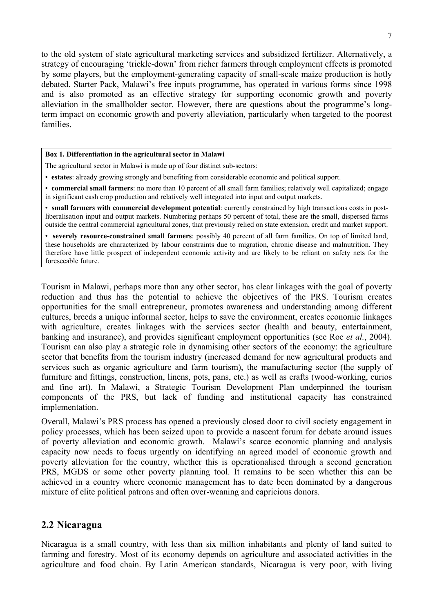to the old system of state agricultural marketing services and subsidized fertilizer. Alternatively, a strategy of encouraging 'trickle-down' from richer farmers through employment effects is promoted by some players, but the employment-generating capacity of small-scale maize production is hotly debated. Starter Pack, Malawi's free inputs programme, has operated in various forms since 1998 and is also promoted as an effective strategy for supporting economic growth and poverty alleviation in the smallholder sector. However, there are questions about the programme's longterm impact on economic growth and poverty alleviation, particularly when targeted to the poorest families.

#### **Box 1. Differentiation in the agricultural sector in Malawi**

The agricultural sector in Malawi is made up of four distinct sub-sectors:

- **estates**: already growing strongly and benefiting from considerable economic and political support.
- **commercial small farmers**: no more than 10 percent of all small farm families; relatively well capitalized; engage in significant cash crop production and relatively well integrated into input and output markets.

• **small farmers with commercial development potential**: currently constrained by high transactions costs in postliberalisation input and output markets. Numbering perhaps 50 percent of total, these are the small, dispersed farms outside the central commercial agricultural zones, that previously relied on state extension, credit and market support.

• **severely resource-constrained small farmers**: possibly 40 percent of all farm families. On top of limited land, these households are characterized by labour constraints due to migration, chronic disease and malnutrition. They therefore have little prospect of independent economic activity and are likely to be reliant on safety nets for the foreseeable future.

Tourism in Malawi, perhaps more than any other sector, has clear linkages with the goal of poverty reduction and thus has the potential to achieve the objectives of the PRS. Tourism creates opportunities for the small entrepreneur, promotes awareness and understanding among different cultures, breeds a unique informal sector, helps to save the environment, creates economic linkages with agriculture, creates linkages with the services sector (health and beauty, entertainment, banking and insurance), and provides significant employment opportunities (see Roe *et al.*, 2004). Tourism can also play a strategic role in dynamising other sectors of the economy: the agriculture sector that benefits from the tourism industry (increased demand for new agricultural products and services such as organic agriculture and farm tourism), the manufacturing sector (the supply of furniture and fittings, construction, linens, pots, pans, etc.) as well as crafts (wood-working, curios and fine art). In Malawi, a Strategic Tourism Development Plan underpinned the tourism components of the PRS, but lack of funding and institutional capacity has constrained implementation.

Overall, Malawi's PRS process has opened a previously closed door to civil society engagement in policy processes, which has been seized upon to provide a nascent forum for debate around issues of poverty alleviation and economic growth. Malawi's scarce economic planning and analysis capacity now needs to focus urgently on identifying an agreed model of economic growth and poverty alleviation for the country, whether this is operationalised through a second generation PRS, MGDS or some other poverty planning tool. It remains to be seen whether this can be achieved in a country where economic management has to date been dominated by a dangerous mixture of elite political patrons and often over-weaning and capricious donors.

## **2.2 Nicaragua**

Nicaragua is a small country, with less than six million inhabitants and plenty of land suited to farming and forestry. Most of its economy depends on agriculture and associated activities in the agriculture and food chain. By Latin American standards, Nicaragua is very poor, with living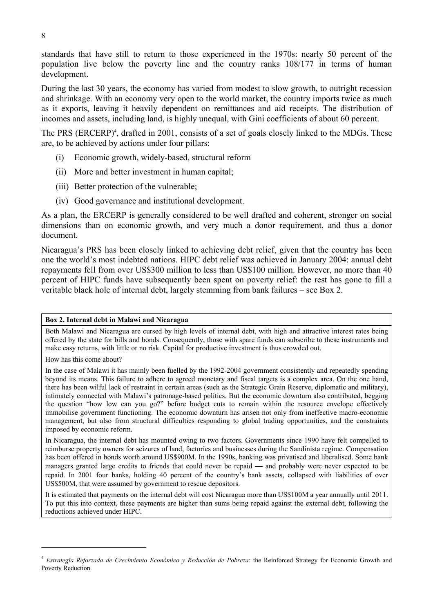standards that have still to return to those experienced in the 1970s: nearly 50 percent of the population live below the poverty line and the country ranks 108/177 in terms of human development.

During the last 30 years, the economy has varied from modest to slow growth, to outright recession and shrinkage. With an economy very open to the world market, the country imports twice as much as it exports, leaving it heavily dependent on remittances and aid receipts. The distribution of incomes and assets, including land, is highly unequal, with Gini coefficients of about 60 percent.

The PRS (ERCERP)<sup>4</sup>, drafted in 2001, consists of a set of goals closely linked to the MDGs. These are, to be achieved by actions under four pillars:

- (i) Economic growth, widely-based, structural reform
- (ii) More and better investment in human capital;
- (iii) Better protection of the vulnerable;
- (iv) Good governance and institutional development.

As a plan, the ERCERP is generally considered to be well drafted and coherent, stronger on social dimensions than on economic growth, and very much a donor requirement, and thus a donor document.

Nicaragua's PRS has been closely linked to achieving debt relief, given that the country has been one the world's most indebted nations. HIPC debt relief was achieved in January 2004: annual debt repayments fell from over US\$300 million to less than US\$100 million. However, no more than 40 percent of HIPC funds have subsequently been spent on poverty relief: the rest has gone to fill a veritable black hole of internal debt, largely stemming from bank failures – see Box 2.

## **Box 2. Internal debt in Malawi and Nicaragua**

Both Malawi and Nicaragua are cursed by high levels of internal debt, with high and attractive interest rates being offered by the state for bills and bonds. Consequently, those with spare funds can subscribe to these instruments and make easy returns, with little or no risk. Capital for productive investment is thus crowded out.

How has this come about?

 $\overline{a}$ 

In the case of Malawi it has mainly been fuelled by the 1992-2004 government consistently and repeatedly spending beyond its means. This failure to adhere to agreed monetary and fiscal targets is a complex area. On the one hand, there has been wilful lack of restraint in certain areas (such as the Strategic Grain Reserve, diplomatic and military), intimately connected with Malawi's patronage-based politics. But the economic downturn also contributed, begging the question "how low can you go?" before budget cuts to remain within the resource envelope effectively immobilise government functioning. The economic downturn has arisen not only from ineffective macro-economic management, but also from structural difficulties responding to global trading opportunities, and the constraints imposed by economic reform.

In Nicaragua, the internal debt has mounted owing to two factors. Governments since 1990 have felt compelled to reimburse property owners for seizures of land, factories and businesses during the Sandinista regime. Compensation has been offered in bonds worth around US\$900M. In the 1990s, banking was privatised and liberalised. Some bank managers granted large credits to friends that could never be repaid — and probably were never expected to be repaid. In 2001 four banks, holding 40 percent of the country's bank assets, collapsed with liabilities of over US\$500M, that were assumed by government to rescue depositors.

It is estimated that payments on the internal debt will cost Nicaragua more than US\$100M a year annually until 2011. To put this into context, these payments are higher than sums being repaid against the external debt, following the reductions achieved under HIPC.

<sup>4</sup> *Estrategia Reforzada de Crecimiento Económico y Reducción de Pobreza*: the Reinforced Strategy for Economic Growth and Poverty Reduction.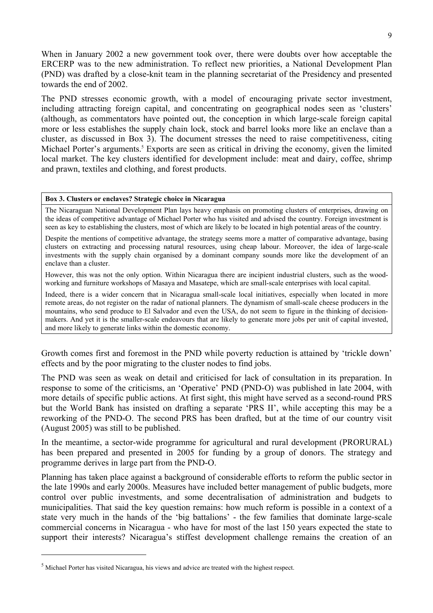When in January 2002 a new government took over, there were doubts over how acceptable the ERCERP was to the new administration. To reflect new priorities, a National Development Plan (PND) was drafted by a close-knit team in the planning secretariat of the Presidency and presented towards the end of 2002.

The PND stresses economic growth, with a model of encouraging private sector investment, including attracting foreign capital, and concentrating on geographical nodes seen as 'clusters' (although, as commentators have pointed out, the conception in which large-scale foreign capital more or less establishes the supply chain lock, stock and barrel looks more like an enclave than a cluster, as discussed in Box 3). The document stresses the need to raise competitiveness, citing Michael Porter's arguments.<sup>5</sup> Exports are seen as critical in driving the economy, given the limited local market. The key clusters identified for development include: meat and dairy, coffee, shrimp and prawn, textiles and clothing, and forest products.

#### **Box 3. Clusters or enclaves? Strategic choice in Nicaragua**

The Nicaraguan National Development Plan lays heavy emphasis on promoting clusters of enterprises, drawing on the ideas of competitive advantage of Michael Porter who has visited and advised the country. Foreign investment is seen as key to establishing the clusters, most of which are likely to be located in high potential areas of the country.

Despite the mentions of competitive advantage, the strategy seems more a matter of comparative advantage, basing clusters on extracting and processing natural resources, using cheap labour. Moreover, the idea of large-scale investments with the supply chain organised by a dominant company sounds more like the development of an enclave than a cluster.

However, this was not the only option. Within Nicaragua there are incipient industrial clusters, such as the woodworking and furniture workshops of Masaya and Masatepe, which are small-scale enterprises with local capital.

Indeed, there is a wider concern that in Nicaragua small-scale local initiatives, especially when located in more remote areas, do not register on the radar of national planners. The dynamism of small-scale cheese producers in the mountains, who send produce to El Salvador and even the USA, do not seem to figure in the thinking of decisionmakers. And yet it is the smaller-scale endeavours that are likely to generate more jobs per unit of capital invested, and more likely to generate links within the domestic economy.

Growth comes first and foremost in the PND while poverty reduction is attained by 'trickle down' effects and by the poor migrating to the cluster nodes to find jobs.

The PND was seen as weak on detail and criticised for lack of consultation in its preparation. In response to some of the criticisms, an 'Operative' PND (PND-O) was published in late 2004, with more details of specific public actions. At first sight, this might have served as a second-round PRS but the World Bank has insisted on drafting a separate 'PRS II', while accepting this may be a reworking of the PND-O. The second PRS has been drafted, but at the time of our country visit (August 2005) was still to be published.

In the meantime, a sector-wide programme for agricultural and rural development (PRORURAL) has been prepared and presented in 2005 for funding by a group of donors. The strategy and programme derives in large part from the PND-O.

Planning has taken place against a background of considerable efforts to reform the public sector in the late 1990s and early 2000s. Measures have included better management of public budgets, more control over public investments, and some decentralisation of administration and budgets to municipalities. That said the key question remains: how much reform is possible in a context of a state very much in the hands of the 'big battalions' - the few families that dominate large-scale commercial concerns in Nicaragua - who have for most of the last 150 years expected the state to support their interests? Nicaragua's stiffest development challenge remains the creation of an

 $<sup>5</sup>$  Michael Porter has visited Nicaragua, his views and advice are treated with the highest respect.</sup>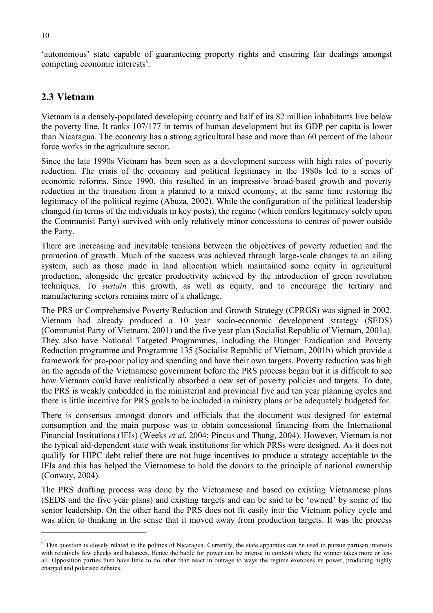'autonomous' state capable of guaranteeing property rights and ensuring fair dealings amongst competing economic interests<sup>6</sup>.

## **2.3 Vietnam**

Vietnam is a densely-populated developing country and half of its 82 million inhabitants live below the poverty line. It ranks 107/177 in terms of human development but its GDP per capita is lower than Nicaragua. The economy has a strong agricultural base and more than 60 percent of the labour force works in the agriculture sector.

Since the late 1990s Vietnam has been seen as a development success with high rates of poverty reduction. The crisis of the economy and political legitimacy in the 1980s led to a series of economic reforms. Since 1990, this resulted in an impressive broad-based growth and poverty reduction in the transition from a planned to a mixed economy, at the same time restoring the legitimacy of the political regime (Abuza, 2002). While the configuration of the political leadership changed (in terms of the individuals in key posts), the regime (which confers legitimacy solely upon the Communist Party) survived with only relatively minor concessions to centres of power outside the Party.

There are increasing and inevitable tensions between the objectives of poverty reduction and the promotion of growth. Much of the success was achieved through large-scale changes to an ailing system, such as those made in land allocation which maintained some equity in agricultural production, alongside the greater productivity achieved by the introduction of green revolution techniques. To *sustain* this growth, as well as equity, and to encourage the tertiary and manufacturing sectors remains more of a challenge.

The PRS or Comprehensive Poverty Reduction and Growth Strategy (CPRGS) was signed in 2002. Vietnam had already produced a 10 year socio-economic development strategy (SEDS) (Communist Party of Vietnam, 2001) and the five year plan (Socialist Republic of Vietnam, 2001a). They also have National Targeted Programmes, including the Hunger Eradication and Poverty Reduction programme and Programme 135 (Socialist Republic of Vietnam, 2001b) which provide a framework for pro-poor policy and spending and have their own targets. Poverty reduction was high on the agenda of the Vietnamese government before the PRS process began but it is difficult to see how Vietnam could have realistically absorbed a new set of poverty policies and targets. To date, the PRS is weakly embedded in the ministerial and provincial five and ten year planning cycles and there is little incentive for PRS goals to be included in ministry plans or be adequately budgeted for.

There is consensus amongst donors and officials that the document was designed for external consumption and the main purpose was to obtain concessional financing from the International Financial Institutions (IFIs) (Weeks *et al*, 2004; Pincus and Thang, 2004). However, Vietnam is not the typical aid-dependent state with weak institutions for which PRSs were designed. As it does not qualify for HIPC debt relief there are not huge incentives to produce a strategy acceptable to the IFIs and this has helped the Vietnamese to hold the donors to the principle of national ownership (Conway, 2004).

The PRS drafting process was done by the Vietnamese and based on existing Vietnamese plans (SEDS and the five year plans) and existing targets and can be said to be 'owned' by some of the senior leadership. On the other hand the PRS does not fit easily into the Vietnam policy cycle and was alien to thinking in the sense that it moved away from production targets. It was the process

 $<sup>6</sup>$  This question is closely related to the politics of Nicaragua. Currently, the state apparatus can be used to pursue partisan interests</sup> with relatively few checks and balances. Hence the battle for power can be intense in contests where the winner takes more or less all. Opposition parties then have little to do other than react in outrage to ways the regime exercises its power, producing highly charged and polarised debates.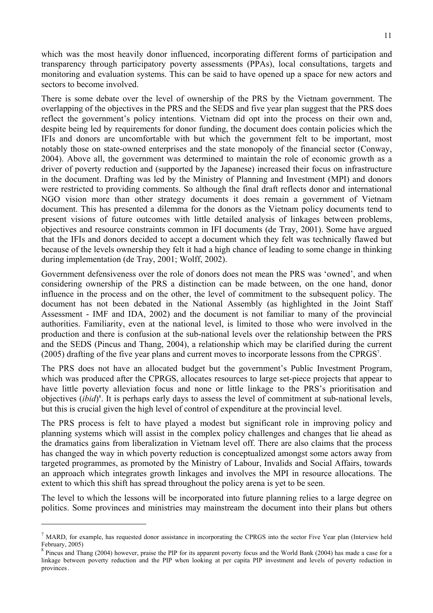which was the most heavily donor influenced, incorporating different forms of participation and transparency through participatory poverty assessments (PPAs), local consultations, targets and monitoring and evaluation systems. This can be said to have opened up a space for new actors and sectors to become involved.

There is some debate over the level of ownership of the PRS by the Vietnam government. The overlapping of the objectives in the PRS and the SEDS and five year plan suggest that the PRS does reflect the government's policy intentions. Vietnam did opt into the process on their own and, despite being led by requirements for donor funding, the document does contain policies which the IFIs and donors are uncomfortable with but which the government felt to be important, most notably those on state-owned enterprises and the state monopoly of the financial sector (Conway, 2004). Above all, the government was determined to maintain the role of economic growth as a driver of poverty reduction and (supported by the Japanese) increased their focus on infrastructure in the document. Drafting was led by the Ministry of Planning and Investment (MPI) and donors were restricted to providing comments. So although the final draft reflects donor and international NGO vision more than other strategy documents it does remain a government of Vietnam document. This has presented a dilemma for the donors as the Vietnam policy documents tend to present visions of future outcomes with little detailed analysis of linkages between problems, objectives and resource constraints common in IFI documents (de Tray, 2001). Some have argued that the IFIs and donors decided to accept a document which they felt was technically flawed but because of the levels ownership they felt it had a high chance of leading to some change in thinking during implementation (de Tray, 2001; Wolff, 2002).

Government defensiveness over the role of donors does not mean the PRS was 'owned', and when considering ownership of the PRS a distinction can be made between, on the one hand, donor influence in the process and on the other, the level of commitment to the subsequent policy. The document has not been debated in the National Assembly (as highlighted in the Joint Staff Assessment - IMF and IDA, 2002) and the document is not familiar to many of the provincial authorities. Familiarity, even at the national level, is limited to those who were involved in the production and there is confusion at the sub-national levels over the relationship between the PRS and the SEDS (Pincus and Thang, 2004), a relationship which may be clarified during the current (2005) drafting of the five year plans and current moves to incorporate lessons from the CPRGS7 .

The PRS does not have an allocated budget but the government's Public Investment Program, which was produced after the CPRGS, allocates resources to large set-piece projects that appear to have little poverty alleviation focus and none or little linkage to the PRS's prioritisation and objectives (*ibid*) 8 . It is perhaps early days to assess the level of commitment at sub-national levels, but this is crucial given the high level of control of expenditure at the provincial level.

The PRS process is felt to have played a modest but significant role in improving policy and planning systems which will assist in the complex policy challenges and changes that lie ahead as the dramatics gains from liberalization in Vietnam level off. There are also claims that the process has changed the way in which poverty reduction is conceptualized amongst some actors away from targeted programmes, as promoted by the Ministry of Labour, Invalids and Social Affairs, towards an approach which integrates growth linkages and involves the MPI in resource allocations. The extent to which this shift has spread throughout the policy arena is yet to be seen.

The level to which the lessons will be incorporated into future planning relies to a large degree on politics. Some provinces and ministries may mainstream the document into their plans but others

 $<sup>7</sup>$  MARD, for example, has requested donor assistance in incorporating the CPRGS into the sector Five Year plan (Interview held</sup> February, 2005)

 $8$  Pincus and Thang (2004) however, praise the PIP for its apparent poverty focus and the World Bank (2004) has made a case for a linkage between poverty reduction and the PIP when looking at per capita PIP investment and levels of poverty reduction in provinces.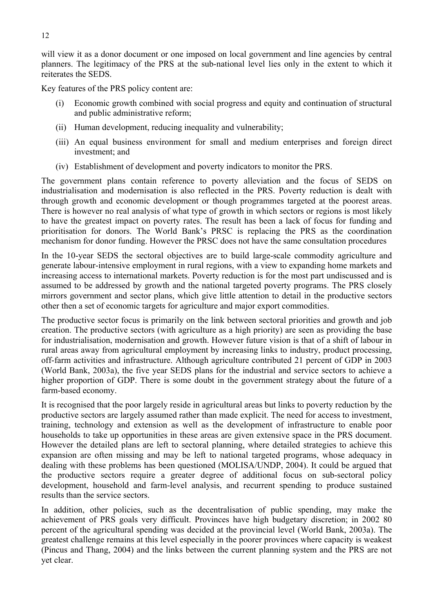will view it as a donor document or one imposed on local government and line agencies by central planners. The legitimacy of the PRS at the sub-national level lies only in the extent to which it reiterates the SEDS.

Key features of the PRS policy content are:

- (i) Economic growth combined with social progress and equity and continuation of structural and public administrative reform;
- (ii) Human development, reducing inequality and vulnerability;
- (iii) An equal business environment for small and medium enterprises and foreign direct investment; and
- (iv) Establishment of development and poverty indicators to monitor the PRS.

The government plans contain reference to poverty alleviation and the focus of SEDS on industrialisation and modernisation is also reflected in the PRS. Poverty reduction is dealt with through growth and economic development or though programmes targeted at the poorest areas. There is however no real analysis of what type of growth in which sectors or regions is most likely to have the greatest impact on poverty rates. The result has been a lack of focus for funding and prioritisation for donors. The World Bank's PRSC is replacing the PRS as the coordination mechanism for donor funding. However the PRSC does not have the same consultation procedures

In the 10-year SEDS the sectoral objectives are to build large-scale commodity agriculture and generate labour-intensive employment in rural regions, with a view to expanding home markets and increasing access to international markets. Poverty reduction is for the most part undiscussed and is assumed to be addressed by growth and the national targeted poverty programs. The PRS closely mirrors government and sector plans, which give little attention to detail in the productive sectors other then a set of economic targets for agriculture and major export commodities.

The productive sector focus is primarily on the link between sectoral priorities and growth and job creation. The productive sectors (with agriculture as a high priority) are seen as providing the base for industrialisation, modernisation and growth. However future vision is that of a shift of labour in rural areas away from agricultural employment by increasing links to industry, product processing, off-farm activities and infrastructure. Although agriculture contributed 21 percent of GDP in 2003 (World Bank, 2003a), the five year SEDS plans for the industrial and service sectors to achieve a higher proportion of GDP. There is some doubt in the government strategy about the future of a farm-based economy.

It is recognised that the poor largely reside in agricultural areas but links to poverty reduction by the productive sectors are largely assumed rather than made explicit. The need for access to investment, training, technology and extension as well as the development of infrastructure to enable poor households to take up opportunities in these areas are given extensive space in the PRS document. However the detailed plans are left to sectoral planning, where detailed strategies to achieve this expansion are often missing and may be left to national targeted programs, whose adequacy in dealing with these problems has been questioned (MOLISA/UNDP, 2004). It could be argued that the productive sectors require a greater degree of additional focus on sub-sectoral policy development, household and farm-level analysis, and recurrent spending to produce sustained results than the service sectors.

In addition, other policies, such as the decentralisation of public spending, may make the achievement of PRS goals very difficult. Provinces have high budgetary discretion; in 2002 80 percent of the agricultural spending was decided at the provincial level (World Bank, 2003a). The greatest challenge remains at this level especially in the poorer provinces where capacity is weakest (Pincus and Thang, 2004) and the links between the current planning system and the PRS are not yet clear.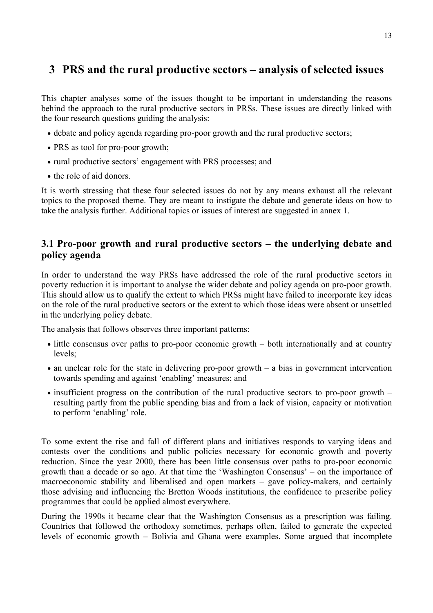## **3 PRS and the rural productive sectors – analysis of selected issues**

This chapter analyses some of the issues thought to be important in understanding the reasons behind the approach to the rural productive sectors in PRSs. These issues are directly linked with the four research questions guiding the analysis:

- debate and policy agenda regarding pro-poor growth and the rural productive sectors;
- PRS as tool for pro-poor growth;
- rural productive sectors' engagement with PRS processes; and
- the role of aid donors.

It is worth stressing that these four selected issues do not by any means exhaust all the relevant topics to the proposed theme. They are meant to instigate the debate and generate ideas on how to take the analysis further. Additional topics or issues of interest are suggested in annex 1.

## **3.1 Pro-poor growth and rural productive sectors – the underlying debate and policy agenda**

In order to understand the way PRSs have addressed the role of the rural productive sectors in poverty reduction it is important to analyse the wider debate and policy agenda on pro-poor growth. This should allow us to qualify the extent to which PRSs might have failed to incorporate key ideas on the role of the rural productive sectors or the extent to which those ideas were absent or unsettled in the underlying policy debate.

The analysis that follows observes three important patterns:

- little consensus over paths to pro-poor economic growth both internationally and at country levels;
- an unclear role for the state in delivering pro-poor growth a bias in government intervention towards spending and against 'enabling' measures; and
- insufficient progress on the contribution of the rural productive sectors to pro-poor growth resulting partly from the public spending bias and from a lack of vision, capacity or motivation to perform 'enabling' role.

To some extent the rise and fall of different plans and initiatives responds to varying ideas and contests over the conditions and public policies necessary for economic growth and poverty reduction. Since the year 2000, there has been little consensus over paths to pro-poor economic growth than a decade or so ago. At that time the 'Washington Consensus' – on the importance of macroeconomic stability and liberalised and open markets – gave policy-makers, and certainly those advising and influencing the Bretton Woods institutions, the confidence to prescribe policy programmes that could be applied almost everywhere.

During the 1990s it became clear that the Washington Consensus as a prescription was failing. Countries that followed the orthodoxy sometimes, perhaps often, failed to generate the expected levels of economic growth – Bolivia and Ghana were examples. Some argued that incomplete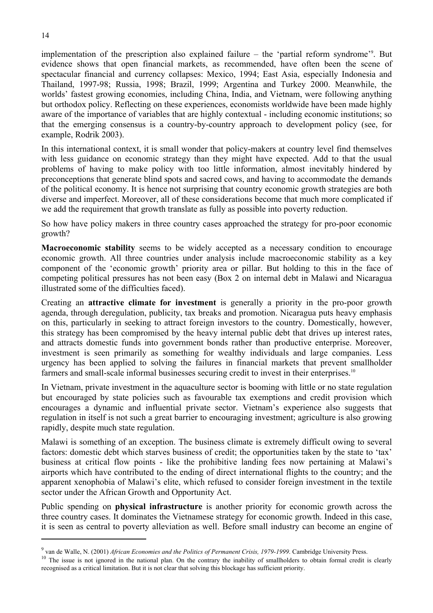implementation of the prescription also explained failure – the 'partial reform syndrome'9 . But evidence shows that open financial markets, as recommended, have often been the scene of spectacular financial and currency collapses: Mexico, 1994; East Asia, especially Indonesia and Thailand, 1997-98; Russia, 1998; Brazil, 1999; Argentina and Turkey 2000. Meanwhile, the worlds' fastest growing economies, including China, India, and Vietnam, were following anything but orthodox policy. Reflecting on these experiences, economists worldwide have been made highly aware of the importance of variables that are highly contextual - including economic institutions; so that the emerging consensus is a country-by-country approach to development policy (see, for example, Rodrik 2003).

In this international context, it is small wonder that policy-makers at country level find themselves with less guidance on economic strategy than they might have expected. Add to that the usual problems of having to make policy with too little information, almost inevitably hindered by preconceptions that generate blind spots and sacred cows, and having to accommodate the demands of the political economy. It is hence not surprising that country economic growth strategies are both diverse and imperfect. Moreover, all of these considerations become that much more complicated if we add the requirement that growth translate as fully as possible into poverty reduction.

So how have policy makers in three country cases approached the strategy for pro-poor economic growth?

**Macroeconomic stability** seems to be widely accepted as a necessary condition to encourage economic growth. All three countries under analysis include macroeconomic stability as a key component of the 'economic growth' priority area or pillar. But holding to this in the face of competing political pressures has not been easy (Box 2 on internal debt in Malawi and Nicaragua illustrated some of the difficulties faced).

Creating an **attractive climate for investment** is generally a priority in the pro-poor growth agenda, through deregulation, publicity, tax breaks and promotion. Nicaragua puts heavy emphasis on this, particularly in seeking to attract foreign investors to the country. Domestically, however, this strategy has been compromised by the heavy internal public debt that drives up interest rates, and attracts domestic funds into government bonds rather than productive enterprise. Moreover, investment is seen primarily as something for wealthy individuals and large companies. Less urgency has been applied to solving the failures in financial markets that prevent smallholder farmers and small-scale informal businesses securing credit to invest in their enterprises.<sup>10</sup>

In Vietnam, private investment in the aquaculture sector is booming with little or no state regulation but encouraged by state policies such as favourable tax exemptions and credit provision which encourages a dynamic and influential private sector. Vietnam's experience also suggests that regulation in itself is not such a great barrier to encouraging investment; agriculture is also growing rapidly, despite much state regulation.

Malawi is something of an exception. The business climate is extremely difficult owing to several factors: domestic debt which starves business of credit; the opportunities taken by the state to 'tax' business at critical flow points - like the prohibitive landing fees now pertaining at Malawi's airports which have contributed to the ending of direct international flights to the country; and the apparent xenophobia of Malawi's elite, which refused to consider foreign investment in the textile sector under the African Growth and Opportunity Act.

Public spending on **physical infrastructure** is another priority for economic growth across the three country cases. It dominates the Vietnamese strategy for economic growth. Indeed in this case, it is seen as central to poverty alleviation as well. Before small industry can become an engine of

 $9$  van de Walle, N. (2001) African Economies and the Politics of Permanent Crisis, 1979-1999. Cambridge University Press.

<sup>&</sup>lt;sup>10</sup> The issue is not ignored in the national plan. On the contrary the inability of smallholders to obtain formal credit is clearly recognised as a critical limitation. But it is not clear that solving this blockage has sufficient priority.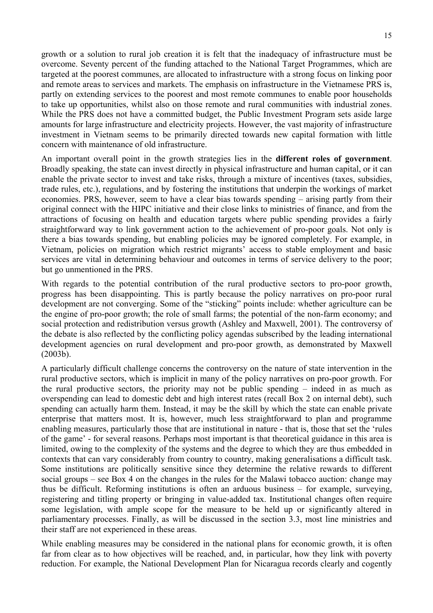growth or a solution to rural job creation it is felt that the inadequacy of infrastructure must be overcome. Seventy percent of the funding attached to the National Target Programmes, which are targeted at the poorest communes, are allocated to infrastructure with a strong focus on linking poor and remote areas to services and markets. The emphasis on infrastructure in the Vietnamese PRS is, partly on extending services to the poorest and most remote communes to enable poor households to take up opportunities, whilst also on those remote and rural communities with industrial zones. While the PRS does not have a committed budget, the Public Investment Program sets aside large amounts for large infrastructure and electricity projects. However, the vast majority of infrastructure investment in Vietnam seems to be primarily directed towards new capital formation with little concern with maintenance of old infrastructure.

An important overall point in the growth strategies lies in the **different roles of government**. Broadly speaking, the state can invest directly in physical infrastructure and human capital, or it can enable the private sector to invest and take risks, through a mixture of incentives (taxes, subsidies, trade rules, etc.), regulations, and by fostering the institutions that underpin the workings of market economies. PRS, however, seem to have a clear bias towards spending – arising partly from their original connect with the HIPC initiative and their close links to ministries of finance, and from the attractions of focusing on health and education targets where public spending provides a fairly straightforward way to link government action to the achievement of pro-poor goals. Not only is there a bias towards spending, but enabling policies may be ignored completely. For example, in Vietnam, policies on migration which restrict migrants' access to stable employment and basic services are vital in determining behaviour and outcomes in terms of service delivery to the poor; but go unmentioned in the PRS.

With regards to the potential contribution of the rural productive sectors to pro-poor growth, progress has been disappointing. This is partly because the policy narratives on pro-poor rural development are not converging. Some of the "sticking" points include: whether agriculture can be the engine of pro-poor growth; the role of small farms; the potential of the non-farm economy; and social protection and redistribution versus growth (Ashley and Maxwell, 2001). The controversy of the debate is also reflected by the conflicting policy agendas subscribed by the leading international development agencies on rural development and pro-poor growth, as demonstrated by Maxwell (2003b).

A particularly difficult challenge concerns the controversy on the nature of state intervention in the rural productive sectors, which is implicit in many of the policy narratives on pro-poor growth. For the rural productive sectors, the priority may not be public spending – indeed in as much as overspending can lead to domestic debt and high interest rates (recall Box 2 on internal debt), such spending can actually harm them. Instead, it may be the skill by which the state can enable private enterprise that matters most. It is, however, much less straightforward to plan and programme enabling measures, particularly those that are institutional in nature - that is, those that set the 'rules of the game' - for several reasons. Perhaps most important is that theoretical guidance in this area is limited, owing to the complexity of the systems and the degree to which they are thus embedded in contexts that can vary considerably from country to country, making generalisations a difficult task. Some institutions are politically sensitive since they determine the relative rewards to different social groups – see Box 4 on the changes in the rules for the Malawi tobacco auction: change may thus be difficult. Reforming institutions is often an arduous business – for example, surveying, registering and titling property or bringing in value-added tax. Institutional changes often require some legislation, with ample scope for the measure to be held up or significantly altered in parliamentary processes. Finally, as will be discussed in the section 3.3, most line ministries and their staff are not experienced in these areas.

While enabling measures may be considered in the national plans for economic growth, it is often far from clear as to how objectives will be reached, and, in particular, how they link with poverty reduction. For example, the National Development Plan for Nicaragua records clearly and cogently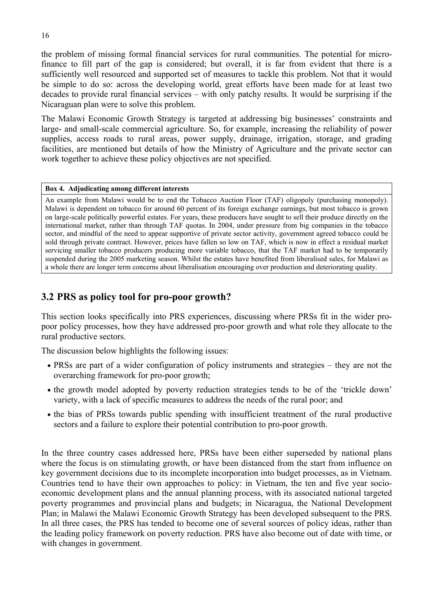the problem of missing formal financial services for rural communities. The potential for microfinance to fill part of the gap is considered; but overall, it is far from evident that there is a sufficiently well resourced and supported set of measures to tackle this problem. Not that it would be simple to do so: across the developing world, great efforts have been made for at least two decades to provide rural financial services – with only patchy results. It would be surprising if the Nicaraguan plan were to solve this problem.

The Malawi Economic Growth Strategy is targeted at addressing big businesses' constraints and large- and small-scale commercial agriculture. So, for example, increasing the reliability of power supplies, access roads to rural areas, power supply, drainage, irrigation, storage, and grading facilities, are mentioned but details of how the Ministry of Agriculture and the private sector can work together to achieve these policy objectives are not specified.

## **Box 4. Adjudicating among different interests**

An example from Malawi would be to end the Tobacco Auction Floor (TAF) oligopoly (purchasing monopoly). Malawi is dependent on tobacco for around 60 percent of its foreign exchange earnings, but most tobacco is grown on large-scale politically powerful estates. For years, these producers have sought to sell their produce directly on the international market, rather than through TAF quotas. In 2004, under pressure from big companies in the tobacco sector, and mindful of the need to appear supportive of private sector activity, government agreed tobacco could be sold through private contract. However, prices have fallen so low on TAF, which is now in effect a residual market servicing smaller tobacco producers producing more variable tobacco, that the TAF market had to be temporarily suspended during the 2005 marketing season. Whilst the estates have benefited from liberalised sales, for Malawi as a whole there are longer term concerns about liberalisation encouraging over production and deteriorating quality.

## **3.2 PRS as policy tool for pro-poor growth?**

This section looks specifically into PRS experiences, discussing where PRSs fit in the wider propoor policy processes, how they have addressed pro-poor growth and what role they allocate to the rural productive sectors.

The discussion below highlights the following issues:

- PRSs are part of a wider configuration of policy instruments and strategies they are not the overarching framework for pro-poor growth;
- the growth model adopted by poverty reduction strategies tends to be of the 'trickle down' variety, with a lack of specific measures to address the needs of the rural poor; and
- the bias of PRSs towards public spending with insufficient treatment of the rural productive sectors and a failure to explore their potential contribution to pro-poor growth.

In the three country cases addressed here, PRSs have been either superseded by national plans where the focus is on stimulating growth, or have been distanced from the start from influence on key government decisions due to its incomplete incorporation into budget processes, as in Vietnam. Countries tend to have their own approaches to policy: in Vietnam, the ten and five year socioeconomic development plans and the annual planning process, with its associated national targeted poverty programmes and provincial plans and budgets; in Nicaragua, the National Development Plan; in Malawi the Malawi Economic Growth Strategy has been developed subsequent to the PRS. In all three cases, the PRS has tended to become one of several sources of policy ideas, rather than the leading policy framework on poverty reduction. PRS have also become out of date with time, or with changes in government.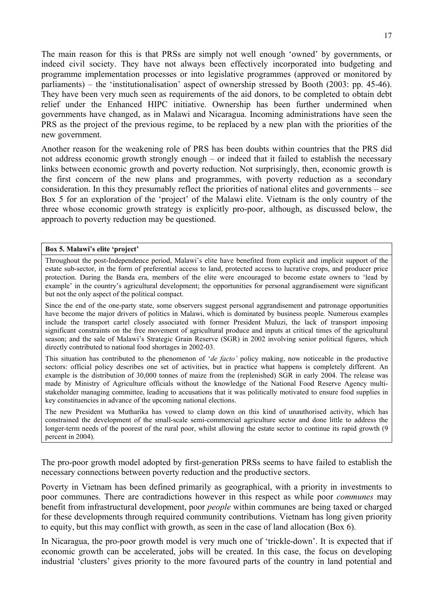The main reason for this is that PRSs are simply not well enough 'owned' by governments, or indeed civil society. They have not always been effectively incorporated into budgeting and programme implementation processes or into legislative programmes (approved or monitored by parliaments) – the 'institutionalisation' aspect of ownership stressed by Booth (2003: pp. 45-46). They have been very much seen as requirements of the aid donors, to be completed to obtain debt relief under the Enhanced HIPC initiative. Ownership has been further undermined when governments have changed, as in Malawi and Nicaragua. Incoming administrations have seen the PRS as the project of the previous regime, to be replaced by a new plan with the priorities of the new government.

Another reason for the weakening role of PRS has been doubts within countries that the PRS did not address economic growth strongly enough – or indeed that it failed to establish the necessary links between economic growth and poverty reduction. Not surprisingly, then, economic growth is the first concern of the new plans and programmes, with poverty reduction as a secondary consideration. In this they presumably reflect the priorities of national elites and governments – see Box 5 for an exploration of the 'project' of the Malawi elite. Vietnam is the only country of the three whose economic growth strategy is explicitly pro-poor, although, as discussed below, the approach to poverty reduction may be questioned.

### **Box 5. Malawi's elite 'project'**

Throughout the post-Independence period, Malawi's elite have benefited from explicit and implicit support of the estate sub-sector, in the form of preferential access to land, protected access to lucrative crops, and producer price protection. During the Banda era, members of the elite were encouraged to become estate owners to 'lead by example' in the country's agricultural development; the opportunities for personal aggrandisement were significant but not the only aspect of the political compact.

Since the end of the one-party state, some observers suggest personal aggrandisement and patronage opportunities have become the major drivers of politics in Malawi, which is dominated by business people. Numerous examples include the transport cartel closely associated with former President Muluzi, the lack of transport imposing significant constraints on the free movement of agricultural produce and inputs at critical times of the agricultural season; and the sale of Malawi's Strategic Grain Reserve (SGR) in 2002 involving senior political figures, which directly contributed to national food shortages in 2002-03.

This situation has contributed to the phenomenon of '*de facto'* policy making, now noticeable in the productive sectors: official policy describes one set of activities, but in practice what happens is completely different. An example is the distribution of 30,000 tonnes of maize from the (replenished) SGR in early 2004. The release was made by Ministry of Agriculture officials without the knowledge of the National Food Reserve Agency multistakeholder managing committee, leading to accusations that it was politically motivated to ensure food supplies in key constituencies in advance of the upcoming national elections.

The new President wa Mutharika has vowed to clamp down on this kind of unauthorised activity, which has constrained the development of the small-scale semi-commercial agriculture sector and done little to address the longer-term needs of the poorest of the rural poor, whilst allowing the estate sector to continue its rapid growth (9) percent in 2004).

The pro-poor growth model adopted by first-generation PRSs seems to have failed to establish the necessary connections between poverty reduction and the productive sectors.

Poverty in Vietnam has been defined primarily as geographical, with a priority in investments to poor communes. There are contradictions however in this respect as while poor *communes* may benefit from infrastructural development, poor *people* within communes are being taxed or charged for these developments through required community contributions. Vietnam has long given priority to equity, but this may conflict with growth, as seen in the case of land allocation (Box 6).

In Nicaragua, the pro-poor growth model is very much one of 'trickle-down'. It is expected that if economic growth can be accelerated, jobs will be created. In this case, the focus on developing industrial 'clusters' gives priority to the more favoured parts of the country in land potential and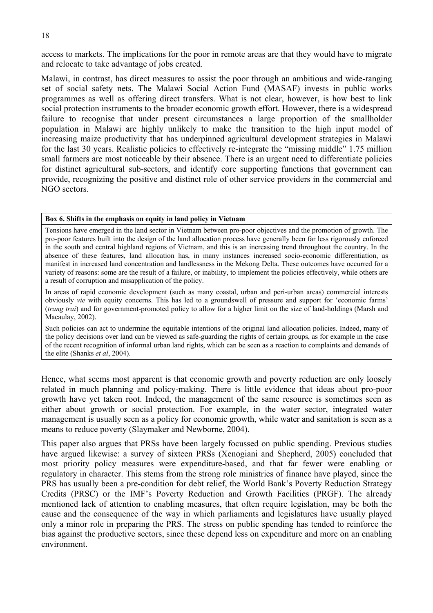access to markets. The implications for the poor in remote areas are that they would have to migrate and relocate to take advantage of jobs created.

Malawi, in contrast, has direct measures to assist the poor through an ambitious and wide-ranging set of social safety nets. The Malawi Social Action Fund (MASAF) invests in public works programmes as well as offering direct transfers. What is not clear, however, is how best to link social protection instruments to the broader economic growth effort. However, there is a widespread failure to recognise that under present circumstances a large proportion of the smallholder population in Malawi are highly unlikely to make the transition to the high input model of increasing maize productivity that has underpinned agricultural development strategies in Malawi for the last 30 years. Realistic policies to effectively re-integrate the "missing middle" 1.75 million small farmers are most noticeable by their absence. There is an urgent need to differentiate policies for distinct agricultural sub-sectors, and identify core supporting functions that government can provide, recognizing the positive and distinct role of other service providers in the commercial and NGO sectors.

#### **Box 6. Shifts in the emphasis on equity in land policy in Vietnam**

Tensions have emerged in the land sector in Vietnam between pro-poor objectives and the promotion of growth. The pro-poor features built into the design of the land allocation process have generally been far less rigorously enforced in the south and central highland regions of Vietnam, and this is an increasing trend throughout the country. In the absence of these features, land allocation has, in many instances increased socio-economic differentiation, as manifest in increased land concentration and landlessness in the Mekong Delta. These outcomes have occurred for a variety of reasons: some are the result of a failure, or inability, to implement the policies effectively, while others are a result of corruption and misapplication of the policy.

In areas of rapid economic development (such as many coastal, urban and peri-urban areas) commercial interests obviously *vie* with equity concerns. This has led to a groundswell of pressure and support for 'economic farms' (*trang trai*) and for government-promoted policy to allow for a higher limit on the size of land-holdings (Marsh and Macaulay, 2002).

Such policies can act to undermine the equitable intentions of the original land allocation policies. Indeed, many of the policy decisions over land can be viewed as safe-guarding the rights of certain groups, as for example in the case of the recent recognition of informal urban land rights, which can be seen as a reaction to complaints and demands of the elite (Shanks *et al*, 2004).

Hence, what seems most apparent is that economic growth and poverty reduction are only loosely related in much planning and policy-making. There is little evidence that ideas about pro-poor growth have yet taken root. Indeed, the management of the same resource is sometimes seen as either about growth or social protection. For example, in the water sector, integrated water management is usually seen as a policy for economic growth, while water and sanitation is seen as a means to reduce poverty (Slaymaker and Newborne, 2004).

This paper also argues that PRSs have been largely focussed on public spending. Previous studies have argued likewise: a survey of sixteen PRSs (Xenogiani and Shepherd, 2005) concluded that most priority policy measures were expenditure-based, and that far fewer were enabling or regulatory in character. This stems from the strong role ministries of finance have played, since the PRS has usually been a pre-condition for debt relief, the World Bank's Poverty Reduction Strategy Credits (PRSC) or the IMF's Poverty Reduction and Growth Facilities (PRGF). The already mentioned lack of attention to enabling measures, that often require legislation, may be both the cause and the consequence of the way in which parliaments and legislatures have usually played only a minor role in preparing the PRS. The stress on public spending has tended to reinforce the bias against the productive sectors, since these depend less on expenditure and more on an enabling environment.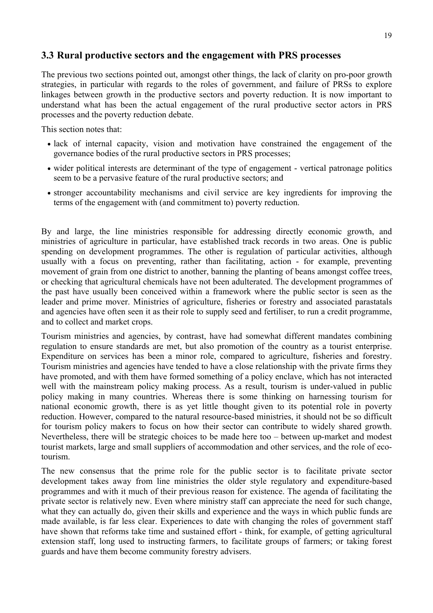## **3.3 Rural productive sectors and the engagement with PRS processes**

The previous two sections pointed out, amongst other things, the lack of clarity on pro-poor growth strategies, in particular with regards to the roles of government, and failure of PRSs to explore linkages between growth in the productive sectors and poverty reduction. It is now important to understand what has been the actual engagement of the rural productive sector actors in PRS processes and the poverty reduction debate.

This section notes that:

- lack of internal capacity, vision and motivation have constrained the engagement of the governance bodies of the rural productive sectors in PRS processes;
- wider political interests are determinant of the type of engagement vertical patronage politics seem to be a pervasive feature of the rural productive sectors; and
- stronger accountability mechanisms and civil service are key ingredients for improving the terms of the engagement with (and commitment to) poverty reduction.

By and large, the line ministries responsible for addressing directly economic growth, and ministries of agriculture in particular, have established track records in two areas. One is public spending on development programmes. The other is regulation of particular activities, although usually with a focus on preventing, rather than facilitating, action - for example, preventing movement of grain from one district to another, banning the planting of beans amongst coffee trees, or checking that agricultural chemicals have not been adulterated. The development programmes of the past have usually been conceived within a framework where the public sector is seen as the leader and prime mover. Ministries of agriculture, fisheries or forestry and associated parastatals and agencies have often seen it as their role to supply seed and fertiliser, to run a credit programme, and to collect and market crops.

Tourism ministries and agencies, by contrast, have had somewhat different mandates combining regulation to ensure standards are met, but also promotion of the country as a tourist enterprise. Expenditure on services has been a minor role, compared to agriculture, fisheries and forestry. Tourism ministries and agencies have tended to have a close relationship with the private firms they have promoted, and with them have formed something of a policy enclave, which has not interacted well with the mainstream policy making process. As a result, tourism is under-valued in public policy making in many countries. Whereas there is some thinking on harnessing tourism for national economic growth, there is as yet little thought given to its potential role in poverty reduction. However, compared to the natural resource-based ministries, it should not be so difficult for tourism policy makers to focus on how their sector can contribute to widely shared growth. Nevertheless, there will be strategic choices to be made here too – between up-market and modest tourist markets, large and small suppliers of accommodation and other services, and the role of ecotourism.

The new consensus that the prime role for the public sector is to facilitate private sector development takes away from line ministries the older style regulatory and expenditure-based programmes and with it much of their previous reason for existence. The agenda of facilitating the private sector is relatively new. Even where ministry staff can appreciate the need for such change, what they can actually do, given their skills and experience and the ways in which public funds are made available, is far less clear. Experiences to date with changing the roles of government staff have shown that reforms take time and sustained effort - think, for example, of getting agricultural extension staff, long used to instructing farmers, to facilitate groups of farmers; or taking forest guards and have them become community forestry advisers.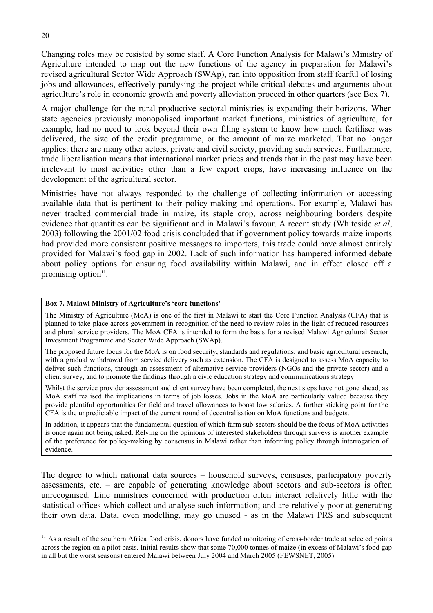Changing roles may be resisted by some staff. A Core Function Analysis for Malawi's Ministry of Agriculture intended to map out the new functions of the agency in preparation for Malawi's revised agricultural Sector Wide Approach (SWAp), ran into opposition from staff fearful of losing jobs and allowances, effectively paralysing the project while critical debates and arguments about agriculture's role in economic growth and poverty alleviation proceed in other quarters (see Box 7).

A major challenge for the rural productive sectoral ministries is expanding their horizons. When state agencies previously monopolised important market functions, ministries of agriculture, for example, had no need to look beyond their own filing system to know how much fertiliser was delivered, the size of the credit programme, or the amount of maize marketed. That no longer applies: there are many other actors, private and civil society, providing such services. Furthermore, trade liberalisation means that international market prices and trends that in the past may have been irrelevant to most activities other than a few export crops, have increasing influence on the development of the agricultural sector.

Ministries have not always responded to the challenge of collecting information or accessing available data that is pertinent to their policy-making and operations. For example, Malawi has never tracked commercial trade in maize, its staple crop, across neighbouring borders despite evidence that quantities can be significant and in Malawi's favour. A recent study (Whiteside *et al*, 2003) following the 2001/02 food crisis concluded that if government policy towards maize imports had provided more consistent positive messages to importers, this trade could have almost entirely provided for Malawi's food gap in 2002. Lack of such information has hampered informed debate about policy options for ensuring food availability within Malawi, and in effect closed off a promising option $11$ .

## **Box 7. Malawi Ministry of Agriculture's 'core functions'**

The Ministry of Agriculture (MoA) is one of the first in Malawi to start the Core Function Analysis (CFA) that is planned to take place across government in recognition of the need to review roles in the light of reduced resources and plural service providers. The MoA CFA is intended to form the basis for a revised Malawi Agricultural Sector Investment Programme and Sector Wide Approach (SWAp).

The proposed future focus for the MoA is on food security, standards and regulations, and basic agricultural research, with a gradual withdrawal from service delivery such as extension. The CFA is designed to assess MoA capacity to deliver such functions, through an assessment of alternative service providers (NGOs and the private sector) and a client survey, and to promote the findings through a civic education strategy and communications strategy.

Whilst the service provider assessment and client survey have been completed, the next steps have not gone ahead, as MoA staff realised the implications in terms of job losses. Jobs in the MoA are particularly valued because they provide plentiful opportunities for field and travel allowances to boost low salaries. A further sticking point for the CFA is the unpredictable impact of the current round of decentralisation on MoA functions and budgets.

In addition, it appears that the fundamental question of which farm sub-sectors should be the focus of MoA activities is once again not being asked. Relying on the opinions of interested stakeholders through surveys is another example of the preference for policy-making by consensus in Malawi rather than informing policy through interrogation of evidence.

The degree to which national data sources – household surveys, censuses, participatory poverty assessments, etc. – are capable of generating knowledge about sectors and sub-sectors is often unrecognised. Line ministries concerned with production often interact relatively little with the statistical offices which collect and analyse such information; and are relatively poor at generating their own data. Data, even modelling, may go unused - as in the Malawi PRS and subsequent

 $<sup>11</sup>$  As a result of the southern Africa food crisis, donors have funded monitoring of cross-border trade at selected points</sup> across the region on a pilot basis. Initial results show that some 70,000 tonnes of maize (in excess of Malawi's food gap in all but the worst seasons) entered Malawi between July 2004 and March 2005 (FEWSNET, 2005).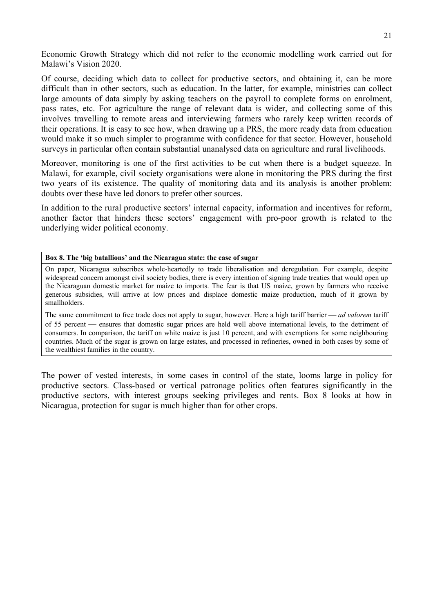Economic Growth Strategy which did not refer to the economic modelling work carried out for Malawi's Vision 2020.

Of course, deciding which data to collect for productive sectors, and obtaining it, can be more difficult than in other sectors, such as education. In the latter, for example, ministries can collect large amounts of data simply by asking teachers on the payroll to complete forms on enrolment, pass rates, etc. For agriculture the range of relevant data is wider, and collecting some of this involves travelling to remote areas and interviewing farmers who rarely keep written records of their operations. It is easy to see how, when drawing up a PRS, the more ready data from education would make it so much simpler to programme with confidence for that sector. However, household surveys in particular often contain substantial unanalysed data on agriculture and rural livelihoods.

Moreover, monitoring is one of the first activities to be cut when there is a budget squeeze. In Malawi, for example, civil society organisations were alone in monitoring the PRS during the first two years of its existence. The quality of monitoring data and its analysis is another problem: doubts over these have led donors to prefer other sources.

In addition to the rural productive sectors' internal capacity, information and incentives for reform, another factor that hinders these sectors' engagement with pro-poor growth is related to the underlying wider political economy.

### **Box 8. The 'big batallions' and the Nicaragua state: the case of sugar**

On paper, Nicaragua subscribes whole-heartedly to trade liberalisation and deregulation. For example, despite widespread concern amongst civil society bodies, there is every intention of signing trade treaties that would open up the Nicaraguan domestic market for maize to imports. The fear is that US maize, grown by farmers who receive generous subsidies, will arrive at low prices and displace domestic maize production, much of it grown by smallholders.

The same commitment to free trade does not apply to sugar, however. Here a high tariff barrier — *ad valorem* tariff of 55 percent — ensures that domestic sugar prices are held well above international levels, to the detriment of consumers. In comparison, the tariff on white maize is just 10 percent, and with exemptions for some neighbouring countries. Much of the sugar is grown on large estates, and processed in refineries, owned in both cases by some of the wealthiest families in the country.

The power of vested interests, in some cases in control of the state, looms large in policy for productive sectors. Class-based or vertical patronage politics often features significantly in the productive sectors, with interest groups seeking privileges and rents. Box 8 looks at how in Nicaragua, protection for sugar is much higher than for other crops.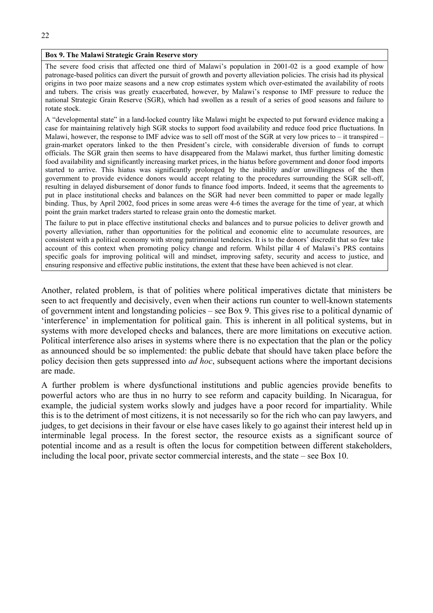## **Box 9. The Malawi Strategic Grain Reserve story**

The severe food crisis that affected one third of Malawi's population in 2001-02 is a good example of how patronage-based politics can divert the pursuit of growth and poverty alleviation policies. The crisis had its physical origins in two poor maize seasons and a new crop estimates system which over-estimated the availability of roots and tubers. The crisis was greatly exacerbated, however, by Malawi's response to IMF pressure to reduce the national Strategic Grain Reserve (SGR), which had swollen as a result of a series of good seasons and failure to rotate stock.

A "developmental state" in a land-locked country like Malawi might be expected to put forward evidence making a case for maintaining relatively high SGR stocks to support food availability and reduce food price fluctuations. In Malawi, however, the response to IMF advice was to sell off most of the SGR at very low prices to – it transpired – grain-market operators linked to the then President's circle, with considerable diversion of funds to corrupt officials. The SGR grain then seems to have disappeared from the Malawi market, thus further limiting domestic food availability and significantly increasing market prices, in the hiatus before government and donor food imports started to arrive. This hiatus was significantly prolonged by the inability and/or unwillingness of the then government to provide evidence donors would accept relating to the procedures surrounding the SGR sell-off, resulting in delayed disbursement of donor funds to finance food imports. Indeed, it seems that the agreements to put in place institutional checks and balances on the SGR had never been committed to paper or made legally binding. Thus, by April 2002, food prices in some areas were 4-6 times the average for the time of year, at which point the grain market traders started to release grain onto the domestic market.

The failure to put in place effective institutional checks and balances and to pursue policies to deliver growth and poverty alleviation, rather than opportunities for the political and economic elite to accumulate resources, are consistent with a political economy with strong patrimonial tendencies. It is to the donors' discredit that so few take account of this context when promoting policy change and reform. Whilst pillar 4 of Malawi's PRS contains specific goals for improving political will and mindset, improving safety, security and access to justice, and ensuring responsive and effective public institutions, the extent that these have been achieved is not clear.

Another, related problem, is that of polities where political imperatives dictate that ministers be seen to act frequently and decisively, even when their actions run counter to well-known statements of government intent and longstanding policies – see Box 9. This gives rise to a political dynamic of 'interference' in implementation for political gain. This is inherent in all political systems, but in systems with more developed checks and balances, there are more limitations on executive action. Political interference also arises in systems where there is no expectation that the plan or the policy as announced should be so implemented: the public debate that should have taken place before the policy decision then gets suppressed into *ad hoc*, subsequent actions where the important decisions are made.

A further problem is where dysfunctional institutions and public agencies provide benefits to powerful actors who are thus in no hurry to see reform and capacity building. In Nicaragua, for example, the judicial system works slowly and judges have a poor record for impartiality. While this is to the detriment of most citizens, it is not necessarily so for the rich who can pay lawyers, and judges, to get decisions in their favour or else have cases likely to go against their interest held up in interminable legal process. In the forest sector, the resource exists as a significant source of potential income and as a result is often the locus for competition between different stakeholders, including the local poor, private sector commercial interests, and the state – see Box 10.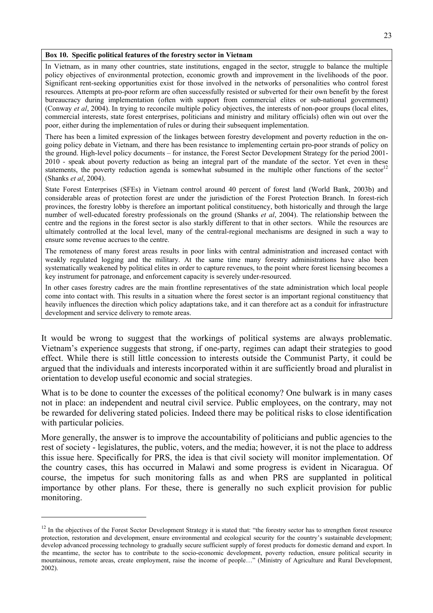#### **Box 10. Specific political features of the forestry sector in Vietnam**

In Vietnam, as in many other countries, state institutions, engaged in the sector, struggle to balance the multiple policy objectives of environmental protection, economic growth and improvement in the livelihoods of the poor. Significant rent-seeking opportunities exist for those involved in the networks of personalities who control forest resources. Attempts at pro-poor reform are often successfully resisted or subverted for their own benefit by the forest bureaucracy during implementation (often with support from commercial elites or sub-national government) (Conway *et al*, 2004). In trying to reconcile multiple policy objectives, the interests of non-poor groups (local elites, commercial interests, state forest enterprises, politicians and ministry and military officials) often win out over the poor, either during the implementation of rules or during their subsequent implementation.

There has been a limited expression of the linkages between forestry development and poverty reduction in the ongoing policy debate in Vietnam, and there has been resistance to implementing certain pro-poor strands of policy on the ground. High-level policy documents – for instance, the Forest Sector Development Strategy for the period 2001- 2010 - speak about poverty reduction as being an integral part of the mandate of the sector. Yet even in these statements, the poverty reduction agenda is somewhat subsumed in the multiple other functions of the sector<sup>12</sup> (Shanks *et al*, 2004).

State Forest Enterprises (SFEs) in Vietnam control around 40 percent of forest land (World Bank, 2003b) and considerable areas of protection forest are under the jurisdiction of the Forest Protection Branch. In forest-rich provinces, the forestry lobby is therefore an important political constituency, both historically and through the large number of well-educated forestry professionals on the ground (Shanks *et al*, 2004). The relationship between the centre and the regions in the forest sector is also starkly different to that in other sectors. While the resources are ultimately controlled at the local level, many of the central-regional mechanisms are designed in such a way to ensure some revenue accrues to the centre.

The remoteness of many forest areas results in poor links with central administration and increased contact with weakly regulated logging and the military. At the same time many forestry administrations have also been systematically weakened by political elites in order to capture revenues, to the point where forest licensing becomes a key instrument for patronage, and enforcement capacity is severely under-resourced.

In other cases forestry cadres are the main frontline representatives of the state administration which local people come into contact with. This results in a situation where the forest sector is an important regional constituency that heavily influences the direction which policy adaptations take, and it can therefore act as a conduit for infrastructure development and service delivery to remote areas.

It would be wrong to suggest that the workings of political systems are always problematic. Vietnam's experience suggests that strong, if one-party, regimes can adapt their strategies to good effect. While there is still little concession to interests outside the Communist Party, it could be argued that the individuals and interests incorporated within it are sufficiently broad and pluralist in orientation to develop useful economic and social strategies.

What is to be done to counter the excesses of the political economy? One bulwark is in many cases not in place: an independent and neutral civil service. Public employees, on the contrary, may not be rewarded for delivering stated policies. Indeed there may be political risks to close identification with particular policies.

More generally, the answer is to improve the accountability of politicians and public agencies to the rest of society - legislatures, the public, voters, and the media; however, it is not the place to address this issue here. Specifically for PRS, the idea is that civil society will monitor implementation. Of the country cases, this has occurred in Malawi and some progress is evident in Nicaragua. Of course, the impetus for such monitoring falls as and when PRS are supplanted in political importance by other plans. For these, there is generally no such explicit provision for public monitoring.

<sup>&</sup>lt;sup>12</sup> In the objectives of the Forest Sector Development Strategy it is stated that: "the forestry sector has to strengthen forest resource protection, restoration and development, ensure environmental and ecological security for the country's sustainable development; develop advanced processing technology to gradually secure sufficient supply of forest products for domestic demand and export. In the meantime, the sector has to contribute to the socio-economic development, poverty reduction, ensure political security in mountainous, remote areas, create employment, raise the income of people…" (Ministry of Agriculture and Rural Development, 2002).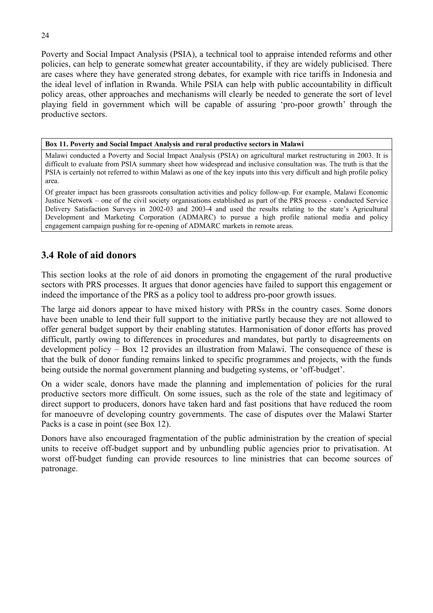Poverty and Social Impact Analysis (PSIA), a technical tool to appraise intended reforms and other policies, can help to generate somewhat greater accountability, if they are widely publicised. There are cases where they have generated strong debates, for example with rice tariffs in Indonesia and the ideal level of inflation in Rwanda. While PSIA can help with public accountability in difficult policy areas, other approaches and mechanisms will clearly be needed to generate the sort of level playing field in government which will be capable of assuring 'pro-poor growth' through the productive sectors.

**Box 11. Poverty and Social Impact Analysis and rural productive sectors in Malawi** 

Malawi conducted a Poverty and Social Impact Analysis (PSIA) on agricultural market restructuring in 2003. It is difficult to evaluate from PSIA summary sheet how widespread and inclusive consultation was. The truth is that the PSIA is certainly not referred to within Malawi as one of the key inputs into this very difficult and high profile policy area.

Of greater impact has been grassroots consultation activities and policy follow-up. For example, Malawi Economic Justice Network – one of the civil society organisations established as part of the PRS process - conducted Service Delivery Satisfaction Surveys in 2002-03 and 2003-4 and used the results relating to the state's Agricultural Development and Marketing Corporation (ADMARC) to pursue a high profile national media and policy engagement campaign pushing for re-opening of ADMARC markets in remote areas.

## **3.4 Role of aid donors**

This section looks at the role of aid donors in promoting the engagement of the rural productive sectors with PRS processes. It argues that donor agencies have failed to support this engagement or indeed the importance of the PRS as a policy tool to address pro-poor growth issues.

The large aid donors appear to have mixed history with PRSs in the country cases. Some donors have been unable to lend their full support to the initiative partly because they are not allowed to offer general budget support by their enabling statutes. Harmonisation of donor efforts has proved difficult, partly owing to differences in procedures and mandates, but partly to disagreements on development policy – Box 12 provides an illustration from Malawi. The consequence of these is that the bulk of donor funding remains linked to specific programmes and projects, with the funds being outside the normal government planning and budgeting systems, or 'off-budget'.

On a wider scale, donors have made the planning and implementation of policies for the rural productive sectors more difficult. On some issues, such as the role of the state and legitimacy of direct support to producers, donors have taken hard and fast positions that have reduced the room for manoeuvre of developing country governments. The case of disputes over the Malawi Starter Packs is a case in point (see Box 12).

Donors have also encouraged fragmentation of the public administration by the creation of special units to receive off-budget support and by unbundling public agencies prior to privatisation. At worst off-budget funding can provide resources to line ministries that can become sources of patronage.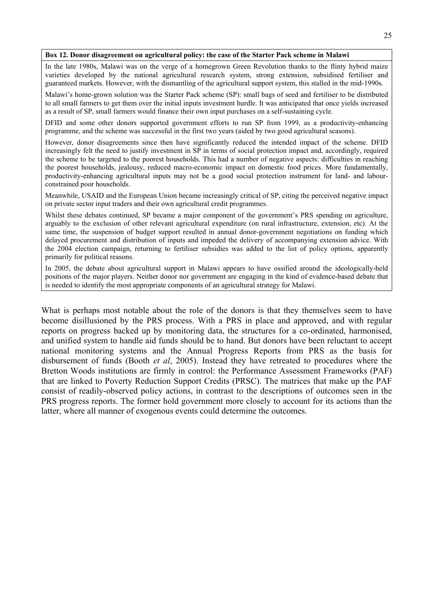#### **Box 12. Donor disagreement on agricultural policy: the case of the Starter Pack scheme in Malawi**

In the late 1980s, Malawi was on the verge of a homegrown Green Revolution thanks to the flinty hybrid maize varieties developed by the national agricultural research system, strong extension, subsidised fertiliser and guaranteed markets. However, with the dismantling of the agricultural support system, this stalled in the mid-1990s.

Malawi's home-grown solution was the Starter Pack scheme (SP): small bags of seed and fertiliser to be distributed to all small farmers to get them over the initial inputs investment hurdle. It was anticipated that once yields increased as a result of SP, small farmers would finance their own input purchases on a self-sustaining cycle.

DFID and some other donors supported government efforts to run SP from 1999, as a productivity-enhancing programme, and the scheme was successful in the first two years (aided by two good agricultural seasons).

However, donor disagreements since then have significantly reduced the intended impact of the scheme. DFID increasingly felt the need to justify investment in SP in terms of social protection impact and, accordingly, required the scheme to be targeted to the poorest households. This had a number of negative aspects: difficulties in reaching the poorest households, jealousy, reduced macro-economic impact on domestic food prices. More fundamentally, productivity-enhancing agricultural inputs may not be a good social protection instrument for land- and labourconstrained poor households.

Meanwhile, USAID and the European Union became increasingly critical of SP, citing the perceived negative impact on private sector input traders and their own agricultural credit programmes.

Whilst these debates continued, SP became a major component of the government's PRS spending on agriculture, arguably to the exclusion of other relevant agricultural expenditure (on rural infrastructure, extension, etc). At the same time, the suspension of budget support resulted in annual donor-government negotiations on funding which delayed procurement and distribution of inputs and impeded the delivery of accompanying extension advice. With the 2004 election campaign, returning to fertiliser subsidies was added to the list of policy options, apparently primarily for political reasons.

In 2005, the debate about agricultural support in Malawi appears to have ossified around the ideologically-held positions of the major players. Neither donor nor government are engaging in the kind of evidence-based debate that is needed to identify the most appropriate components of an agricultural strategy for Malawi.

What is perhaps most notable about the role of the donors is that they themselves seem to have become disillusioned by the PRS process. With a PRS in place and approved, and with regular reports on progress backed up by monitoring data, the structures for a co-ordinated, harmonised, and unified system to handle aid funds should be to hand. But donors have been reluctant to accept national monitoring systems and the Annual Progress Reports from PRS as the basis for disbursement of funds (Booth *et al*, 2005). Instead they have retreated to procedures where the Bretton Woods institutions are firmly in control: the Performance Assessment Frameworks (PAF) that are linked to Poverty Reduction Support Credits (PRSC). The matrices that make up the PAF consist of readily-observed policy actions, in contrast to the descriptions of outcomes seen in the PRS progress reports. The former hold government more closely to account for its actions than the latter, where all manner of exogenous events could determine the outcomes.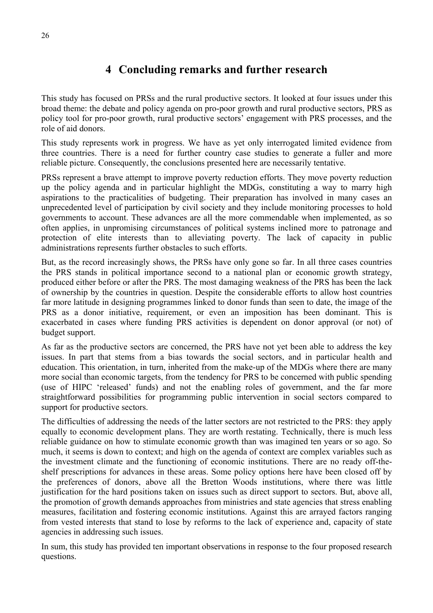## **4 Concluding remarks and further research**

This study has focused on PRSs and the rural productive sectors. It looked at four issues under this broad theme: the debate and policy agenda on pro-poor growth and rural productive sectors, PRS as policy tool for pro-poor growth, rural productive sectors' engagement with PRS processes, and the role of aid donors.

This study represents work in progress. We have as yet only interrogated limited evidence from three countries. There is a need for further country case studies to generate a fuller and more reliable picture. Consequently, the conclusions presented here are necessarily tentative.

PRSs represent a brave attempt to improve poverty reduction efforts. They move poverty reduction up the policy agenda and in particular highlight the MDGs, constituting a way to marry high aspirations to the practicalities of budgeting. Their preparation has involved in many cases an unprecedented level of participation by civil society and they include monitoring processes to hold governments to account. These advances are all the more commendable when implemented, as so often applies, in unpromising circumstances of political systems inclined more to patronage and protection of elite interests than to alleviating poverty. The lack of capacity in public administrations represents further obstacles to such efforts.

But, as the record increasingly shows, the PRSs have only gone so far. In all three cases countries the PRS stands in political importance second to a national plan or economic growth strategy, produced either before or after the PRS. The most damaging weakness of the PRS has been the lack of ownership by the countries in question. Despite the considerable efforts to allow host countries far more latitude in designing programmes linked to donor funds than seen to date, the image of the PRS as a donor initiative, requirement, or even an imposition has been dominant. This is exacerbated in cases where funding PRS activities is dependent on donor approval (or not) of budget support.

As far as the productive sectors are concerned, the PRS have not yet been able to address the key issues. In part that stems from a bias towards the social sectors, and in particular health and education. This orientation, in turn, inherited from the make-up of the MDGs where there are many more social than economic targets, from the tendency for PRS to be concerned with public spending (use of HIPC 'released' funds) and not the enabling roles of government, and the far more straightforward possibilities for programming public intervention in social sectors compared to support for productive sectors.

The difficulties of addressing the needs of the latter sectors are not restricted to the PRS: they apply equally to economic development plans. They are worth restating. Technically, there is much less reliable guidance on how to stimulate economic growth than was imagined ten years or so ago. So much, it seems is down to context; and high on the agenda of context are complex variables such as the investment climate and the functioning of economic institutions. There are no ready off-theshelf prescriptions for advances in these areas. Some policy options here have been closed off by the preferences of donors, above all the Bretton Woods institutions, where there was little justification for the hard positions taken on issues such as direct support to sectors. But, above all, the promotion of growth demands approaches from ministries and state agencies that stress enabling measures, facilitation and fostering economic institutions. Against this are arrayed factors ranging from vested interests that stand to lose by reforms to the lack of experience and, capacity of state agencies in addressing such issues.

In sum, this study has provided ten important observations in response to the four proposed research questions.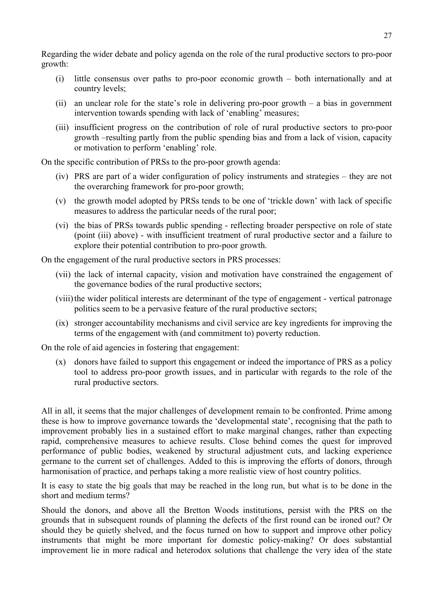Regarding the wider debate and policy agenda on the role of the rural productive sectors to pro-poor growth:

- (i) little consensus over paths to pro-poor economic growth both internationally and at country levels;
- (ii) an unclear role for the state's role in delivering pro-poor growth a bias in government intervention towards spending with lack of 'enabling' measures;
- (iii) insufficient progress on the contribution of role of rural productive sectors to pro-poor growth –resulting partly from the public spending bias and from a lack of vision, capacity or motivation to perform 'enabling' role.

On the specific contribution of PRSs to the pro-poor growth agenda:

- (iv) PRS are part of a wider configuration of policy instruments and strategies they are not the overarching framework for pro-poor growth;
- (v) the growth model adopted by PRSs tends to be one of 'trickle down' with lack of specific measures to address the particular needs of the rural poor;
- (vi) the bias of PRSs towards public spending reflecting broader perspective on role of state (point (iii) above) - with insufficient treatment of rural productive sector and a failure to explore their potential contribution to pro-poor growth.

On the engagement of the rural productive sectors in PRS processes:

- (vii) the lack of internal capacity, vision and motivation have constrained the engagement of the governance bodies of the rural productive sectors;
- (viii) the wider political interests are determinant of the type of engagement vertical patronage politics seem to be a pervasive feature of the rural productive sectors;
- (ix) stronger accountability mechanisms and civil service are key ingredients for improving the terms of the engagement with (and commitment to) poverty reduction.

On the role of aid agencies in fostering that engagement:

(x) donors have failed to support this engagement or indeed the importance of PRS as a policy tool to address pro-poor growth issues, and in particular with regards to the role of the rural productive sectors.

All in all, it seems that the major challenges of development remain to be confronted. Prime among these is how to improve governance towards the 'developmental state', recognising that the path to improvement probably lies in a sustained effort to make marginal changes, rather than expecting rapid, comprehensive measures to achieve results. Close behind comes the quest for improved performance of public bodies, weakened by structural adjustment cuts, and lacking experience germane to the current set of challenges. Added to this is improving the efforts of donors, through harmonisation of practice, and perhaps taking a more realistic view of host country politics.

It is easy to state the big goals that may be reached in the long run, but what is to be done in the short and medium terms?

Should the donors, and above all the Bretton Woods institutions, persist with the PRS on the grounds that in subsequent rounds of planning the defects of the first round can be ironed out? Or should they be quietly shelved, and the focus turned on how to support and improve other policy instruments that might be more important for domestic policy-making? Or does substantial improvement lie in more radical and heterodox solutions that challenge the very idea of the state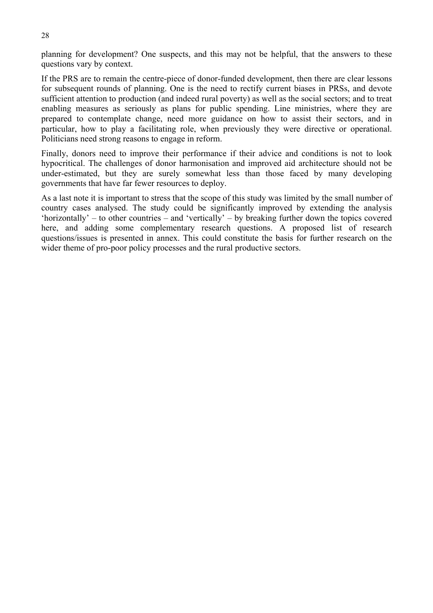planning for development? One suspects, and this may not be helpful, that the answers to these questions vary by context.

If the PRS are to remain the centre-piece of donor-funded development, then there are clear lessons for subsequent rounds of planning. One is the need to rectify current biases in PRSs, and devote sufficient attention to production (and indeed rural poverty) as well as the social sectors; and to treat enabling measures as seriously as plans for public spending. Line ministries, where they are prepared to contemplate change, need more guidance on how to assist their sectors, and in particular, how to play a facilitating role, when previously they were directive or operational. Politicians need strong reasons to engage in reform.

Finally, donors need to improve their performance if their advice and conditions is not to look hypocritical. The challenges of donor harmonisation and improved aid architecture should not be under-estimated, but they are surely somewhat less than those faced by many developing governments that have far fewer resources to deploy.

As a last note it is important to stress that the scope of this study was limited by the small number of country cases analysed. The study could be significantly improved by extending the analysis 'horizontally' – to other countries – and 'vertically' – by breaking further down the topics covered here, and adding some complementary research questions. A proposed list of research questions/issues is presented in annex. This could constitute the basis for further research on the wider theme of pro-poor policy processes and the rural productive sectors.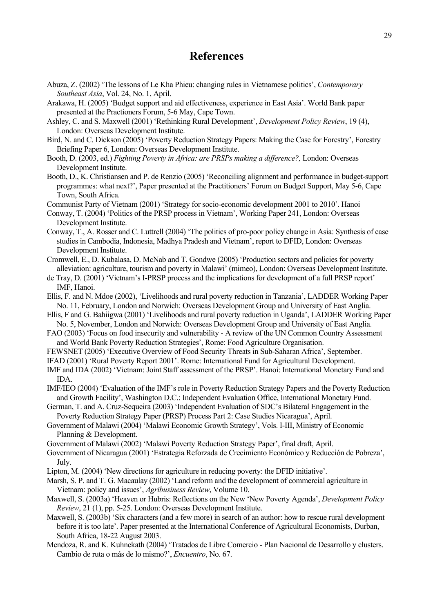## **References**

- Abuza, Z. (2002) 'The lessons of Le Kha Phieu: changing rules in Vietnamese politics', *Contemporary Southeast Asia*, Vol. 24, No. 1, April.
- Arakawa, H. (2005) 'Budget support and aid effectiveness, experience in East Asia'. World Bank paper presented at the Practioners Forum, 5-6 May, Cape Town.
- Ashley, C. and S. Maxwell (2001) 'Rethinking Rural Development', *Development Policy Review*, 19 (4), London: Overseas Development Institute.
- Bird, N. and C. Dickson (2005) 'Poverty Reduction Strategy Papers: Making the Case for Forestry', Forestry Briefing Paper 6, London: Overseas Development Institute.
- Booth, D. (2003, ed.) *Fighting Poverty in Africa: are PRSPs making a difference?,* London: Overseas Development Institute.
- Booth, D., K. Christiansen and P. de Renzio (2005) 'Reconciling alignment and performance in budget-support programmes: what next?', Paper presented at the Practitioners' Forum on Budget Support, May 5-6, Cape Town, South Africa.
- Communist Party of Vietnam (2001) 'Strategy for socio-economic development 2001 to 2010'. Hanoi
- Conway, T. (2004) 'Politics of the PRSP process in Vietnam', Working Paper 241, London: Overseas Development Institute.
- Conway, T., A. Rosser and C. Luttrell (2004) 'The politics of pro-poor policy change in Asia: Synthesis of case studies in Cambodia, Indonesia, Madhya Pradesh and Vietnam', report to DFID, London: Overseas Development Institute.
- Cromwell, E., D. Kubalasa, D. McNab and T. Gondwe (2005) 'Production sectors and policies for poverty alleviation: agriculture, tourism and poverty in Malawi' (mimeo), London: Overseas Development Institute.
- de Tray, D. (2001) 'Vietnam's I-PRSP process and the implications for development of a full PRSP report' IMF, Hanoi.
- Ellis, F. and N. Mdoe (2002), 'Livelihoods and rural poverty reduction in Tanzania', LADDER Working Paper No. 11, February, London and Norwich: Overseas Development Group and University of East Anglia.
- Ellis, F and G. Bahiigwa (2001) 'Livelihoods and rural poverty reduction in Uganda', LADDER Working Paper No. 5, November, London and Norwich: Overseas Development Group and University of East Anglia.
- FAO (2003) 'Focus on food insecurity and vulnerability A review of the UN Common Country Assessment and World Bank Poverty Reduction Strategies', Rome: Food Agriculture Organisation.
- FEWSNET (2005) 'Executive Overview of Food Security Threats in Sub-Saharan Africa', September.
- IFAD (2001) 'Rural Poverty Report 2001'. Rome: International Fund for Agricultural Development.
- IMF and IDA (2002) 'Vietnam: Joint Staff assessment of the PRSP'. Hanoi: International Monetary Fund and IDA.
- IMF/IEO (2004) 'Evaluation of the IMF's role in Poverty Reduction Strategy Papers and the Poverty Reduction and Growth Facility', Washington D.C.: Independent Evaluation Office, International Monetary Fund.
- German, T. and A. Cruz-Sequeira (2003) 'Independent Evaluation of SDC's Bilateral Engagement in the Poverty Reduction Strategy Paper (PRSP) Process Part 2: Case Studies Nicaragua', April.
- Government of Malawi (2004) 'Malawi Economic Growth Strategy', Vols. I-III, Ministry of Economic Planning & Development.
- Government of Malawi (2002) 'Malawi Poverty Reduction Strategy Paper', final draft, April.
- Government of Nicaragua (2001) 'Estrategia Reforzada de Crecimiento Económico y Reducción de Pobreza', July.
- Lipton, M. (2004) 'New directions for agriculture in reducing poverty: the DFID initiative'.
- Marsh, S. P. and T. G. Macaulay (2002) 'Land reform and the development of commercial agriculture in Vietnam: policy and issues', *Agribusiness Review*, Volume 10.
- Maxwell, S. (2003a) 'Heaven or Hubris: Reflections on the New 'New Poverty Agenda', *Development Policy Review*, 21 (1), pp. 5-25. London: Overseas Development Institute.
- Maxwell, S. (2003b) 'Six characters (and a few more) in search of an author: how to rescue rural development before it is too late'. Paper presented at the International Conference of Agricultural Economists, Durban, South Africa, 18-22 August 2003.
- Mendoza, R. and K. Kuhnekath (2004) 'Tratados de Libre Comercio Plan Nacional de Desarrollo y clusters. Cambio de ruta o más de lo mismo?', *Encuentro*, No. 67.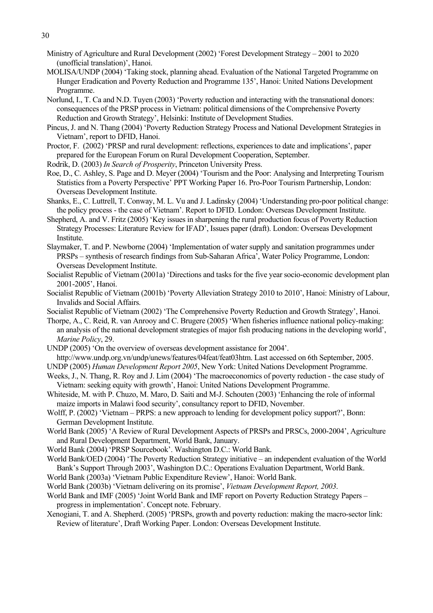- Ministry of Agriculture and Rural Development (2002) 'Forest Development Strategy 2001 to 2020 (unofficial translation)', Hanoi.
- MOLISA/UNDP (2004) 'Taking stock, planning ahead. Evaluation of the National Targeted Programme on Hunger Eradication and Poverty Reduction and Programme 135', Hanoi: United Nations Development Programme.
- Norlund, I., T. Ca and N.D. Tuyen (2003) 'Poverty reduction and interacting with the transnational donors: consequences of the PRSP process in Vietnam: political dimensions of the Comprehensive Poverty Reduction and Growth Strategy', Helsinki: Institute of Development Studies.
- Pincus, J. and N. Thang (2004) 'Poverty Reduction Strategy Process and National Development Strategies in Vietnam', report to DFID, Hanoi.
- Proctor, F. (2002) 'PRSP and rural development: reflections, experiences to date and implications', paper prepared for the European Forum on Rural Development Cooperation, September.
- Rodrik, D. (2003) *In Search of Prosperity*, Princeton University Press.
- Roe, D., C. Ashley, S. Page and D. Meyer (2004) 'Tourism and the Poor: Analysing and Interpreting Tourism Statistics from a Poverty Perspective' PPT Working Paper 16. Pro-Poor Tourism Partnership, London: Overseas Development Institute.
- Shanks, E., C. Luttrell, T. Conway, M. L. Vu and J. Ladinsky (2004) 'Understanding pro-poor political change: the policy process - the case of Vietnam'. Report to DFID. London: Overseas Development Institute.
- Shepherd, A. and V. Fritz (2005) 'Key issues in sharpening the rural production focus of Poverty Reduction Strategy Processes: Literature Review for IFAD', Issues paper (draft). London: Overseas Development Institute.
- Slaymaker, T. and P. Newborne (2004) 'Implementation of water supply and sanitation programmes under PRSPs – synthesis of research findings from Sub-Saharan Africa', Water Policy Programme, London: Overseas Development Institute.
- Socialist Republic of Vietnam (2001a) 'Directions and tasks for the five year socio-economic development plan 2001-2005', Hanoi.
- Socialist Republic of Vietnam (2001b) 'Poverty Alleviation Strategy 2010 to 2010', Hanoi: Ministry of Labour, Invalids and Social Affairs.

Socialist Republic of Vietnam (2002) 'The Comprehensive Poverty Reduction and Growth Strategy', Hanoi.

- Thorpe, A., C. Reid, R. van Anrooy and C. Brugere (2005) 'When fisheries influence national policy-making: an analysis of the national development strategies of major fish producing nations in the developing world', *Marine Policy*, 29.
- UNDP (2005) 'On the overview of overseas development assistance for 2004'.
- http://www.undp.org.vn/undp/unews/features/04feat/feat03htm. Last accessed on 6th September, 2005.

UNDP (2005) *Human Development Report 2005*, New York: United Nations Development Programme.

- Weeks, J., N. Thang, R. Roy and J. Lim (2004) 'The macroeconomics of poverty reduction the case study of Vietnam: seeking equity with growth', Hanoi: United Nations Development Programme.
- Whiteside, M. with P. Chuzo, M. Maro, D. Saiti and M-J. Schouten (2003) 'Enhancing the role of informal maize imports in Malawi food security', consultancy report to DFID, November.
- Wolff, P. (2002) 'Vietnam PRPS: a new approach to lending for development policy support?', Bonn: German Development Institute.
- World Bank (2005) 'A Review of Rural Development Aspects of PRSPs and PRSCs, 2000-2004', Agriculture and Rural Development Department, World Bank, January.
- World Bank (2004) 'PRSP Sourcebook'. Washington D.C.: World Bank.
- World Bank/OED (2004) 'The Poverty Reduction Strategy initiative an independent evaluation of the World Bank's Support Through 2003', Washington D.C.: Operations Evaluation Department, World Bank.
- World Bank (2003a) 'Vietnam Public Expenditure Review', Hanoi: World Bank.
- World Bank (2003b) 'Vietnam delivering on its promise', *Vietnam Development Report, 2003*.
- World Bank and IMF (2005) 'Joint World Bank and IMF report on Poverty Reduction Strategy Papers progress in implementation'. Concept note. February.
- Xenogiani, T. and A. Shepherd. (2005) 'PRSPs, growth and poverty reduction: making the macro-sector link: Review of literature', Draft Working Paper. London: Overseas Development Institute.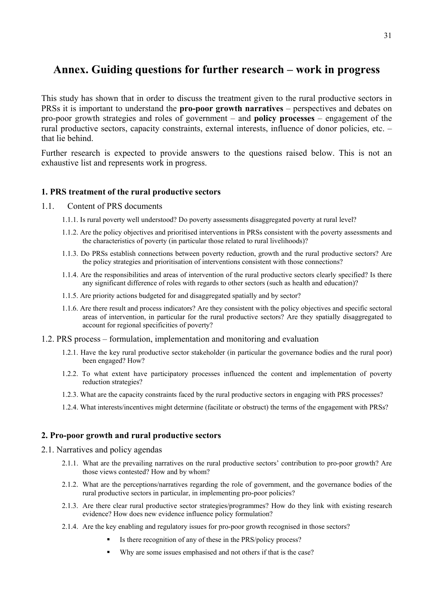## **Annex. Guiding questions for further research – work in progress**

This study has shown that in order to discuss the treatment given to the rural productive sectors in PRSs it is important to understand the **pro-poor growth narratives** – perspectives and debates on pro-poor growth strategies and roles of government – and **policy processes** – engagement of the rural productive sectors, capacity constraints, external interests, influence of donor policies, etc. – that lie behind.

Further research is expected to provide answers to the questions raised below. This is not an exhaustive list and represents work in progress.

## **1. PRS treatment of the rural productive sectors**

### 1.1. Content of PRS documents

- 1.1.1. Is rural poverty well understood? Do poverty assessments disaggregated poverty at rural level?
- 1.1.2. Are the policy objectives and prioritised interventions in PRSs consistent with the poverty assessments and the characteristics of poverty (in particular those related to rural livelihoods)?
- 1.1.3. Do PRSs establish connections between poverty reduction, growth and the rural productive sectors? Are the policy strategies and prioritisation of interventions consistent with those connections?
- 1.1.4. Are the responsibilities and areas of intervention of the rural productive sectors clearly specified? Is there any significant difference of roles with regards to other sectors (such as health and education)?
- 1.1.5. Are priority actions budgeted for and disaggregated spatially and by sector?
- 1.1.6. Are there result and process indicators? Are they consistent with the policy objectives and specific sectoral areas of intervention, in particular for the rural productive sectors? Are they spatially disaggregated to account for regional specificities of poverty?
- 1.2. PRS process formulation, implementation and monitoring and evaluation
	- 1.2.1. Have the key rural productive sector stakeholder (in particular the governance bodies and the rural poor) been engaged? How?
	- 1.2.2. To what extent have participatory processes influenced the content and implementation of poverty reduction strategies?
	- 1.2.3. What are the capacity constraints faced by the rural productive sectors in engaging with PRS processes?
	- 1.2.4. What interests/incentives might determine (facilitate or obstruct) the terms of the engagement with PRSs?

## **2. Pro-poor growth and rural productive sectors**

- 2.1. Narratives and policy agendas
	- 2.1.1. What are the prevailing narratives on the rural productive sectors' contribution to pro-poor growth? Are those views contested? How and by whom?
	- 2.1.2. What are the perceptions/narratives regarding the role of government, and the governance bodies of the rural productive sectors in particular, in implementing pro-poor policies?
	- 2.1.3. Are there clear rural productive sector strategies/programmes? How do they link with existing research evidence? How does new evidence influence policy formulation?
	- 2.1.4. Are the key enabling and regulatory issues for pro-poor growth recognised in those sectors?
		- Is there recognition of any of these in the PRS/policy process?
		- Why are some issues emphasised and not others if that is the case?